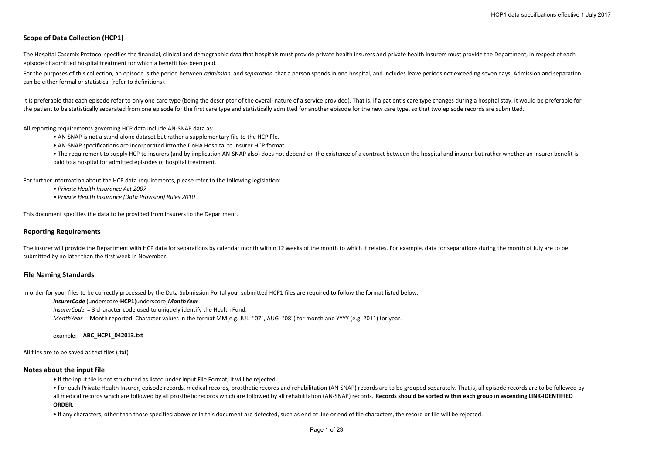# **Scope of Data Collection (HCP1)**

The Hospital Casemix Protocol specifies the financial, clinical and demographic data that hospitals must provide private health insurers and private health insurers must provide the Department, in respect of each episode of admitted hospital treatment for which <sup>a</sup> benefit has been paid.

For the purposes of this collection, an episode is the period between *admission* and *separation* that a person spends in one hospital, and includes leave periods not exceeding seven days. Admission and separation can be either formal or statistical (refer to definitions).

It is preferable that each episode refer to only one care type (being the descriptor of the overall nature of a service provided). That is, if a patient's care type changes during a hospital stay, it would be preferable fo the patient to be statistically separated from one episode for the first care type and statistically admitted for another episode for the new care type, so that two episode records are submitted.

All reporting requirements governing HCP data include AN‐SNAP data as:

- AN‐SNAP is not <sup>a</sup> stand‐alone dataset but rather <sup>a</sup> supplementary file to the HCP file.
- AN‐SNAP specifications are incorporated into the DoHA Hospital to Insurer HCP format.

● The requirement to supply HCP to insurers (and by implication AN-SNAP also) does not depend on the existence of a contract between the hospital and insurer but rather whether an insurer benefit is paid to <sup>a</sup> hospital for admitted episodes of hospital treatment.

For further information about the HCP data requirements, please refer to the following legislation:

- *• Private Health Insurance Act 2007*
- *• Private Health Insurance (Data Provision) Rules 2010*

This document specifies the data to be provided from Insurers to the Department.

# **Reporting Requirements**

The insurer will provide the Department with HCP data for separations by calendar month within 12 weeks of the month to which it relates. For example, data for separations during the month of July are to be submitted by no later than the first week in November.

### **File Naming Standards**

In order for your files to be correctly processed by the Data Submission Portal your submitted HCP1 files are required to follow the format listed below:

### *InsurerCode* (underscore)**HCP1**(underscore)*MonthYear*

*InsurerCode* <sup>=</sup> 3 character code used to uniquely identify the Health Fund.

*MonthYear* <sup>=</sup> Month reported. Character values in the format MM(e.g. JUL="07", AUG="08") for month and YYYY (e.g. 2011) for year.

### example: **ABC\_HCP1\_042013.txt**

All files are to be saved as text files (.txt)

### **Notes about the input file**

• If the input file is not structured as listed under Input File Format, it will be rejected.

● For each Private Health Insurer, episode records, medical records, prosthetic records and rehabilitation (AN-SNAP) records are to be grouped separately. That is, all episode records are to be followed by all medical records which are followed by all prosthetic records which are followed by all rehabilitation (AN-SNAP) records. Records should be sorted within each group in ascending LINK-IDENTIFIED **ORDER.**

• If any characters, other than those specified above or in this document are detected, such as end of line or end of file characters, the record or file will be rejected.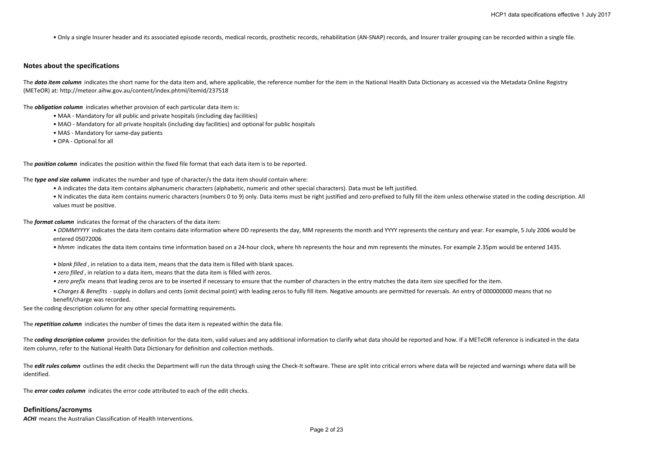• Only <sup>a</sup> single Insurer header and its associated episode records, medical records, prosthetic records, rehabilitation (AN‐SNAP) records, and Insurer trailer grouping can be recorded within <sup>a</sup> single file.

### **Notes about the specifications**

The data item column indicates the short name for the data item and, where applicable, the reference number for the item in the National Health Data Dictionary as accessed via the Metadata Online Registry (METeOR) at: http://meteor.aihw.gov.au/content/index.phtml/itemId/237518

#### The *obligation column* indicates whether provision of each particular data item is:

- MAA ‐ Mandatory for all public and private hospitals (including day facilities)
- MAO ‐ Mandatory for all private hospitals (including day facilities) and optional for public hospitals
- MAS ‐ Mandatory for same‐day patients
- OPA ‐ Optional for all

The *position column* indicates the position within the fixed file format that each data item is to be reported.

The *type and size column* indicates the number and type of character/s the data item should contain where:

- A indicates the data item contains alphanumeric characters (alphabetic, numeric and other special characters). Data must be left justified.
- N indicates the data item contains numeric characters (numbers 0 to 9) only. Data items must be right justified and zero-prefixed to fully fill the item unless otherwise stated in the coding description. All values must be positive.

The *format column* indicates the format of the characters of the data item:

- DDMMYYYY indicates the data item contains date information where DD represents the day, MM represents the month and YYYY represents the century and year. For example, 5 July 2006 would be entered 05072006
- hhmm indicates the data item contains time information based on a 24‐hour clock, where hh represents the hour and mm represents the minutes. For example 2.35pm would be entered 1435.
- *• blank filled* , in relation to <sup>a</sup> data item, means that the data item is filled with blank spaces.
- *• zero filled* , in relation to <sup>a</sup> data item, means that the data item is filled with zeros.
- *• zero prefix* means that leading zeros are to be inserted if necessary to ensure that the number of characters in the entry matches the data item size specified for the item.
- *Charges & Benefits* supply in dollars and cents (omit decimal point) with leading zeros to fully fill item. Negative amounts are permitted for reversals. An entry of 000000000 means that no benefit/charge was recorded.

See the coding description column for any other special formatting requirements.

The *repetition column* indicates the number of times the data item is repeated within the data file.

The coding description column provides the definition for the data item, valid values and any additional information to clarify what data should be reported and how. If a METeOR reference is indicated in the data item column, refer to the National Health Data Dictionary for definition and collection methods.

The *edit rules column* outlines the edit checks the Department will run the data through using the Check-It software. These are split into critical errors where data will be rejected and warnings where data will be identified.

The *error codes column* indicates the error code attributed to each of the edit checks.

### **Definitions/acronyms**

*ACHI* means the Australian Classification of Health Interventions.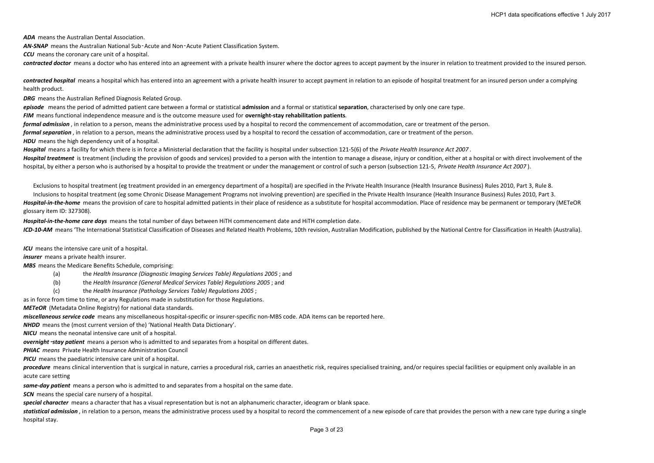*ADA* means the Australian Dental Association.

*AN‐SNAP* means the Australian National Sub‑Acute and Non‑Acute Patient Classification System.

*CCU* means the coronary care unit of <sup>a</sup> hospital.

*contracted doctor* means <sup>a</sup> doctor who has entered into an agreement with <sup>a</sup> private health insurer where the doctor agrees to accept payment by the insurer in relation to treatment provided to the insured person.

*contracted hospital* means <sup>a</sup> hospital which has entered into an agreement with <sup>a</sup> private health insurer to accept payment in relation to an episode of hospital treatment for an insured person under <sup>a</sup> complying health product.

*DRG* means the Australian Refined Diagnosis Related Group.

*episode* means the period of admitted patient care between <sup>a</sup> formal or statistical **admission** and <sup>a</sup> formal or statistical **separation**, characterised by only one care type.

*FIM* means functional independence measure and is the outcome measure used for **overnight‐stay rehabilitation patients**.

*formal admission* , in relation to <sup>a</sup> person, means the administrative process used by <sup>a</sup> hospital to record the commencement of accommodation, care or treatment of the person.

*formal separation* , in relation to <sup>a</sup> person, means the administrative process used by <sup>a</sup> hospital to record the cessation of accommodation, care or treatment of the person.

*HDU* means the high dependency unit of <sup>a</sup> hospital.

*Hospital* means <sup>a</sup> facility for which there is in force <sup>a</sup> Ministerial declaration that the facility is hospital under subsection 121‐5(6) of the *Private Health Insurance Act 2007* .

Hospital treatment is treatment (including the provision of goods and services) provided to a person with the intention to manage a disease, injury or condition, either at a hospital or with direct involvement of the hospital, by either a person who is authorised by a hospital to provide the treatment or under the management or control of such a person (subsection 121-5, Private Health Insurance Act 2007).

Exclusions to hospital treatment (eg treatment provided in an emergency department of <sup>a</sup> hospital) are specified in the Private Health Insurance (Health Insurance Business) Rules 2010, Part 3, Rule 8.

Inclusions to hospital treatment (eg some Chronic Disease Management Programs not involving prevention) are specified in the Private Health Insurance (Health Insurance Business) Rules 2010, Part 3. Hospital-in-the-home means the provision of care to hospital admitted patients in their place of residence as a substitute for hospital accommodation. Place of residence may be permanent or temporary (METeOR glossary item ID: 327308).

*Hospital‐in‐the‐home care days* means the total number of days between HiTH commencement date and HiTH completion date. ICD-10-AM means 'The International Statistical Classification of Diseases and Related Health Problems, 10th revision, Australian Modification, published by the National Centre for Classification in Health (Australia).

*ICU* means the intensive care unit of <sup>a</sup> hospital.

*insurer* means a private health insurer.

*MBS* means the Medicare Benefits Schedule, comprising:

- (a) the *Health Insurance (Diagnostic Imaging Services Table) Regulations 2005* ; and
- (b) the *Health Insurance (General Medical Services Table) Regulations 2005* ; and
- (c) the *Health Insurance (Pathology Services Table) Regulations 2005* ;

as in force from time to time, or any Regulations made in substitution for those Regulations.

*METeOR* (Metadata Online Registry) for national data standards.

*miscellaneous service code* means any miscellaneous hospital‐specific or insurer‐specific non‐MBS code. ADA items can be reported here.

*NHDD* means the (most current version of the) 'National Health Data Dictionary'.

*NICU* means the neonatal intensive care unit of <sup>a</sup> hospital.

*overnight*‑*stay patient* means <sup>a</sup> person who is admitted to and separates from <sup>a</sup> hospital on different dates.

*PHIAC means* Private Health Insurance Administration Council

*PICU* means the paediatric intensive care unit of <sup>a</sup> hospital.

procedure means clinical intervention that is surgical in nature, carries a procedural risk, carries an anaesthetic risk, requires specialised training, and/or requires special facilities or equipment only available in an acute care setting

*same‐day patient* means <sup>a</sup> person who is admitted to and separates from <sup>a</sup> hospital on the same date.

*SCN* means the special care nursery of <sup>a</sup> hospital.

*special character* means <sup>a</sup> character that has <sup>a</sup> visual representation but is not an alphanumeric character, ideogram or blank space.

statistical admission, in relation to a person, means the administrative process used by a hospital to record the commencement of a new episode of care that provides the person with a new care type during a single hospital stay.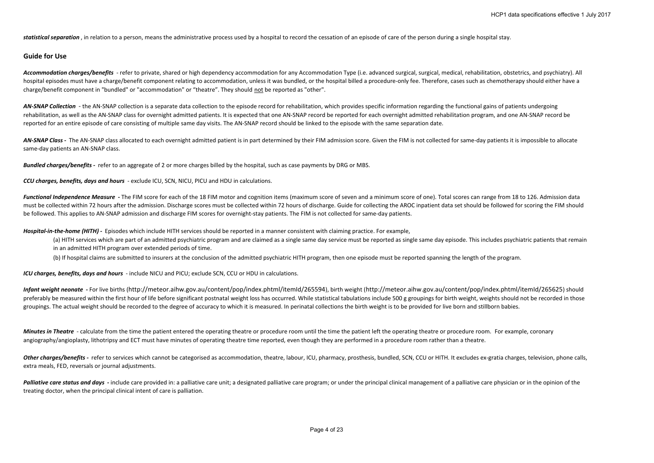*statistical separation* , in relation to <sup>a</sup> person, means the administrative process used by <sup>a</sup> hospital to record the cessation of an episode of care of the person during <sup>a</sup> single hospital stay.

# **Guide for Use**

Accommodation charges/benefits - refer to private, shared or high dependency accommodation for any Accommodation Type (i.e. advanced surgical, surgical, medical, rehabilitation, obstetrics, and psychiatry). All hospital episodes must have a charge/benefit component relating to accommodation, unless it was bundled, or the hospital billed a procedure-only fee. Therefore, cases such as chemotherapy should either have a charge/benefit component in "bundled" or "accommodation" or "theatre". They should not be reported as "other".

AN-SNAP Collection - the AN-SNAP collection is a separate data collection to the episode record for rehabilitation, which provides specific information regarding the functional gains of patients undergoing rehabilitation, as well as the AN‐SNAP class for overnight admitted patients. It is expected that one AN‐SNAP record be reported for each overnight admitted rehabilitation program, and one AN‐SNAP record be reported for an entire episode of care consisting of multiple same day visits. The AN‐SNAP record should be linked to the episode with the same separation date.

AN-SNAP Class - The AN-SNAP class allocated to each overnight admitted patient is in part determined by their FIM admission score. Given the FIM is not collected for same-day patients it is impossible to allocate same-day patients an AN-SNAP class.

*Bundled charges/benefits ‐*  refer to an aggregate of 2 or more charges billed by the hospital, such as case payments by DRG or MBS.

*CCU charges, benefits, days and hours* ‐ exclude ICU, SCN, NICU, PICU and HDU in calculations.

Functional Independence Measure - The FIM score for each of the 18 FIM motor and cognition items (maximum score of seven and a minimum score of one). Total scores can range from 18 to 126. Admission data must be collected within 72 hours after the admission. Discharge scores must be collected within 72 hours of discharge. Guide for collecting the AROC inpatient data set should be followed for scoring the FIM should be followed. This applies to AN‐SNAP admission and discharge FIM scores for overnight‐stay patients. The FIM is not collected for same‐day patients.

*Hospital‐in‐the‐home (HITH) ‐*  Episodes which include HITH services should be reported in <sup>a</sup> manner consistent with claiming practice. For example,

(a) HITH services which are part of an admitted psychiatric program and are claimed as a single same day service must be reported as single same day episode. This includes psychiatric patients that remain in an admitted HITH program over extended periods of time.

(b) If hospital claims are submitted to insurers at the conclusion of the admitted psychiatric HITH program, then one episode must be reported spanning the length of the program.

*ICU charges, benefits, days and hours* ‐ include NICU and PICU; exclude SCN, CCU or HDU in calculations.

Infant weight neonate - For live births (http://meteor.aihw.gov.au/content/pop/index.phtml/itemId/265594), birth weight (http://meteor.aihw.gov.au/content/pop/index.phtml/itemId/265594), birth weight (http://meteor.aihw.go preferably be measured within the first hour of life before significant postnatal weight loss has occurred. While statistical tabulations include 500 g groupings for birth weight, weights should not be recorded in those groupings. The actual weight should be recorded to the degree of accuracy to which it is measured. In perinatal collections the birth weight is to be provided for live born and stillborn babies.

**Minutes in Theatre** - calculate from the time the patient entered the operating theatre or procedure room until the time the patient left the operating theatre or procedure room. For example, coronary angiography/angioplasty, lithotripsy and ECT must have minutes of operating theatre time reported, even though they are performed in a procedure room rather than a theatre.

Other charges/benefits - refer to services which cannot be categorised as accommodation, theatre, labour, ICU, pharmacy, prosthesis, bundled, SCN, CCU or HITH. It excludes ex-gratia charges, television, phone calls, extra meals, FED, reversals or journal adjustments.

Palliative care status and days - include care provided in: a palliative care unit; a designated palliative care program; or under the principal clinical management of a palliative care physician or in the opinion of the treating doctor, when the principal clinical intent of care is palliation.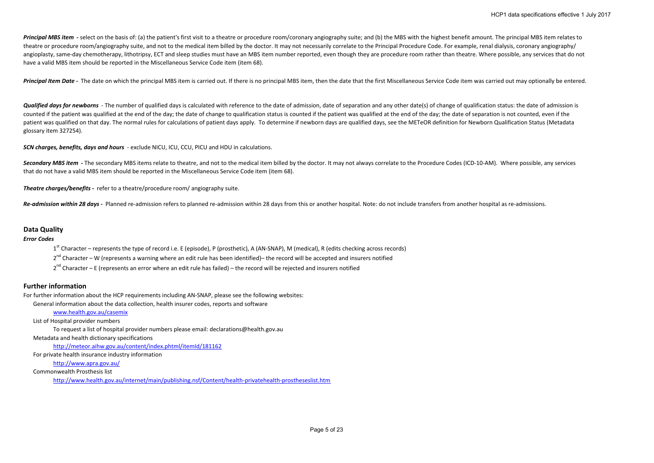Principal MBS item - select on the basis of: (a) the patient's first visit to a theatre or procedure room/coronary angiography suite; and (b) the MBS with the highest benefit amount. The principal MBS item relates to theatre or procedure room/angiography suite, and not to the medical item billed by the doctor. It may not necessarily correlate to the Principal Procedure Code. For example, renal dialysis, coronary angiography/ angioplasty, same-day chemotherapy, lithotripsy, ECT and sleep studies must have an MBS item number reported, even though they are procedure room rather than theatre. Where possible, any services that do not have <sup>a</sup> valid MBS item should be reported in the Miscellaneous Service Code item (item 68).

Principal Item Date - The date on which the principal MBS item is carried out. If there is no principal MBS item, then the date that the first Miscellaneous Service Code item was carried out may optionally be entered.

Qualified days for newborns - The number of qualified days is calculated with reference to the date of admission, date of separation and any other date(s) of change of qualification status: the date of admission is counted if the patient was qualified at the end of the day; the date of change to qualification status is counted if the patient was qualified at the end of the day; the date of separation is not counted, even if the patient was qualified on that day. The normal rules for calculations of patient days apply. To determine if newborn days are qualified days, see the METeOR definition for Newborn Qualification Status (Metadata glossary item 327254).

*SCN charges, benefits, days and hours* ‐ exclude NICU, ICU, CCU, PICU and HDU in calculations.

Secondary MBS item - The secondary MBS items relate to theatre, and not to the medical item billed by the doctor. It may not always correlate to the Procedure Codes (ICD-10-AM). Where possible, any services that do not have <sup>a</sup> valid MBS item should be reported in the Miscellaneous Service Code item (item 68).

*Theatre charges/benefits ‐*  refer to <sup>a</sup> theatre/procedure room/ angiography suite.

Re-admission within 28 days - Planned re-admission refers to planned re-admission within 28 days from this or another hospital. Note: do not include transfers from another hospital as re-admissions.

### **Data Quality**

*Error Codes*

 $1^{st}$  Character – represents the type of record i.e. E (episode), P (prosthetic), A (AN-SNAP), M (medical), R (edits checking across records)

2<sup>nd</sup> Character – W (represents a warning where an edit rule has been identified)– the record will be accepted and insurers notified

2<sup>nd</sup> Character – E (represents an error where an edit rule has failed) – the record will be rejected and insurers notified

# **Further information**

For further information about the HCP requirements including AN‐SNAP, please see the following websites:

General information about the data collection, health insurer codes, reports and software

# www.health.gov.au/casemix

List of Hospital provider numbers

To request <sup>a</sup> list of hospital provider numbers please email: declarations@health.gov.au

Metadata and health dictionary specifications

http://meteor.aihw.gov.au/content/index.phtml/itemId/181162

For private health insurance industry information

http://www.apra.gov.au/

Commonwealth Prosthesis list

http://www.health.gov.au/internet/main/publishing.nsf/Content/health‐privatehealth‐prostheseslist.htm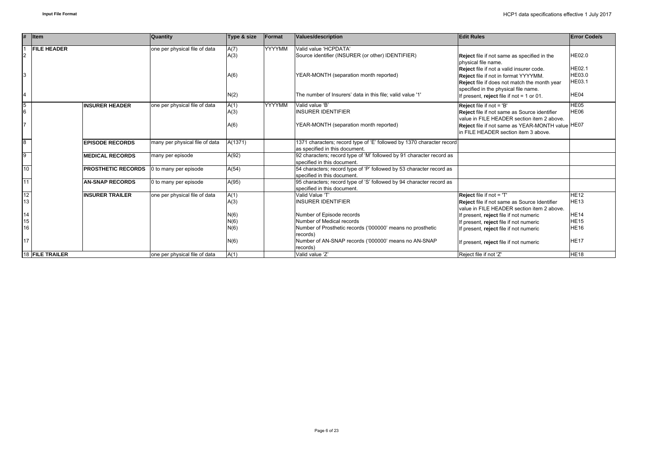| #              | <b>I</b> tem              | Quantity                       | Type & size | Format        | Values/description                                                                                      | <b>Edit Rules</b>                                                                                                                                                                               | <b>Error Code/s</b>                      |
|----------------|---------------------------|--------------------------------|-------------|---------------|---------------------------------------------------------------------------------------------------------|-------------------------------------------------------------------------------------------------------------------------------------------------------------------------------------------------|------------------------------------------|
|                | <b>FILE HEADER</b>        | one per physical file of data  | A(7)        | YYYYMM        | Valid value 'HCPDATA'                                                                                   |                                                                                                                                                                                                 |                                          |
| $\overline{2}$ |                           |                                | A(3)        |               | Source identifier (INSURER (or other) IDENTIFIER)                                                       | <b>Reject</b> file if not same as specified in the                                                                                                                                              | HE02.0                                   |
| 3              |                           |                                | A(6)        |               | YEAR-MONTH (separation month reported)                                                                  | physical file name.<br>Reject file if not a valid insurer code.<br>Reject file if not in format YYYYMM.<br>Reject file if does not match the month year<br>specified in the physical file name. | <b>HE02.1</b><br>HE03.0<br><b>HE03.1</b> |
| 4              |                           |                                | N(2)        |               | The number of Insurers' data in this file; valid value '1'                                              | If present, reject file if not = 1 or 01.                                                                                                                                                       | HE04                                     |
| $\overline{5}$ | <b>INSURER HEADER</b>     | one per physical file of data  | A(1)        | <b>YYYYMM</b> | Valid value 'B'                                                                                         | Reject file if not = 'B'                                                                                                                                                                        | HE05                                     |
| 6              |                           |                                | A(3)        |               | <b>INSURER IDENTIFIER</b>                                                                               | Reject file if not same as Source identifier<br>value in FILE HEADER section item 2 above.                                                                                                      | HE06                                     |
| 7              |                           |                                | A(6)        |               | YEAR-MONTH (separation month reported)                                                                  | Reject file if not same as YEAR-MONTH value HE07<br>in FILE HEADER section item 3 above.                                                                                                        |                                          |
| $\overline{8}$ | <b>EPISODE RECORDS</b>    | many per physical file of data | A(1371)     |               | 1371 characters; record type of 'E' followed by 1370 character record<br>as specified in this document. |                                                                                                                                                                                                 |                                          |
| 9              | <b>MEDICAL RECORDS</b>    | many per episode               | A(92)       |               | 92 characters; record type of 'M' followed by 91 character record as<br>specified in this document.     |                                                                                                                                                                                                 |                                          |
| 10             | <b>PROSTHETIC RECORDS</b> | 0 to many per episode          | A(54)       |               | 54 characters; record type of 'P' followed by 53 character record as<br>specified in this document.     |                                                                                                                                                                                                 |                                          |
| 11             | <b>AN-SNAP RECORDS</b>    | 0 to many per episode          | A(95)       |               | 95 characters; record type of 'S' followed by 94 character record as<br>specified in this document.     |                                                                                                                                                                                                 |                                          |
| 12             | <b>INSURER TRAILER</b>    | one per physical file of data  | A(1)        |               | Valid Value 'T'                                                                                         | Reject file if not = 'T'                                                                                                                                                                        | <b>HE12</b>                              |
| 13             |                           |                                | A(3)        |               | <b>INSURER IDENTIFIER</b>                                                                               | Reject file if not same as Source Identifier<br>value in FILE HEADER section item 2 above.                                                                                                      | <b>HE13</b>                              |
| 14             |                           |                                | N(6)        |               | Number of Episode records                                                                               | If present, reject file if not numeric                                                                                                                                                          | <b>HE14</b>                              |
| 15             |                           |                                | N(6)        |               | Number of Medical records                                                                               | If present, reject file if not numeric                                                                                                                                                          | <b>HE15</b>                              |
| 16             |                           |                                | N(6)        |               | Number of Prosthetic records ('000000' means no prosthetic                                              | If present, reject file if not numeric                                                                                                                                                          | <b>HE16</b>                              |
| 17             |                           |                                | N(6)        |               | records)<br>Number of AN-SNAP records ('000000' means no AN-SNAP<br>records)                            | If present, reject file if not numeric                                                                                                                                                          | <b>HE17</b>                              |
|                | 18 FILE TRAILER           | one per physical file of data  | A(1)        |               | Valid value 'Z'                                                                                         | Reject file if not 'Z'                                                                                                                                                                          | <b>HE18</b>                              |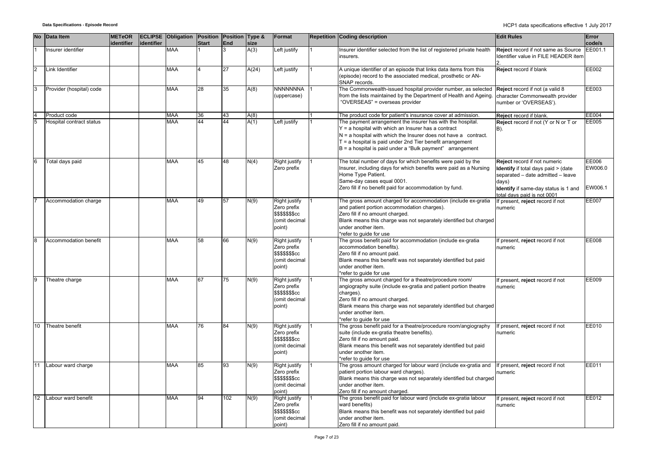| <b>No</b>       | <b>Data Item</b>         | <b>METeOR</b><br>identifier | identifier | <b>ECLIPSE Obligation Position</b> | <b>Start</b>    | Position Type &<br><b>End</b> | size  | Format                                                                             | <b>Repetition Coding description</b>                                                                                                                                                                                                                                                                               | <b>Edit Rules</b>                                                                                                                                                                               | Error<br>code/s             |
|-----------------|--------------------------|-----------------------------|------------|------------------------------------|-----------------|-------------------------------|-------|------------------------------------------------------------------------------------|--------------------------------------------------------------------------------------------------------------------------------------------------------------------------------------------------------------------------------------------------------------------------------------------------------------------|-------------------------------------------------------------------------------------------------------------------------------------------------------------------------------------------------|-----------------------------|
|                 | Insurer identifier       |                             |            | MAA                                |                 |                               | A(3)  | Left justify                                                                       | Insurer identifier selected from the list of registered private health<br>insurers.                                                                                                                                                                                                                                | Reject record if not same as Source<br>Identifier value in FILE HEADER item                                                                                                                     | EE001.1                     |
| $\overline{2}$  | Link Identifier          |                             |            | <b>MAA</b>                         |                 | 27                            | A(24) | Left justify                                                                       | A unique identifier of an episode that links data items from this<br>(episode) record to the associated medical, prosthetic or AN-<br>SNAP records.                                                                                                                                                                | Reject record if blank                                                                                                                                                                          | EE002                       |
| 3               | Provider (hospital) code |                             |            | MAA                                | 28              | 35                            | A(8)  | <b>NNNNNNNA</b><br>(uppercase)                                                     | The Commonwealth-issued hospital provider number, as selected<br>from the lists maintained by the Department of Health and Ageing<br>"OVERSEAS" = overseas provider                                                                                                                                                | Reject record if not (a valid 8<br>character Commonwealth provider<br>number or 'OVERSEAS').                                                                                                    | EE003                       |
| $\overline{4}$  | Product code             |                             |            | MAA                                | 36              | 43                            | A(8)  |                                                                                    | The product code for patient's insurance cover at admission.                                                                                                                                                                                                                                                       | Reject record if blank.                                                                                                                                                                         | <b>EE004</b>                |
| 5               | Hospital contract status |                             |            | MAA                                | 44              | 44                            | A(1)  | Left justify                                                                       | The payment arrangement the insurer has with the hospital.<br>Y = a hospital with which an Insurer has a contract<br>$N = a$ hospital with which the Insurer does not have a contract.<br>T = a hospital is paid under 2nd Tier benefit arrangement<br>$B = a$ hospital is paid under a "Bulk payment" arrangement | Reject record if not (Y or N or T or<br>B).                                                                                                                                                     | EE005                       |
| 6               | Total days paid          |                             |            | MAA                                | 45              | 48                            | N(4)  | Right justify<br>Zero prefix                                                       | The total number of days for which benefits were paid by the<br>Insurer, including days for which benefits were paid as a Nursing<br>Home Type Patient.<br>Same-day cases equal 0001.<br>Zero fill if no benefit paid for accommodation by fund.                                                                   | Reject record if not numeric<br><b>Identify</b> if total days paid > (date<br>separated - date admitted - leave<br>days)<br>Identify if same-day status is 1 and<br>total days paid is not 0001 | EE006<br>EW006.0<br>EW006.1 |
|                 | Accommodation charge     |                             |            | MAA                                | 49              | 57                            | N(9)  | Right justify<br>Zero prefix<br>\$\$\$\$\$\$\$cc<br>(omit decimal<br>point)        | The gross amount charged for accommodation (include ex-gratia<br>and patient portion accommodation charges).<br>Zero fill if no amount charged.<br>Blank means this charge was not separately identified but charged<br>under another item.<br>refer to quide for use                                              | If present, reject record if not<br>numeric                                                                                                                                                     | EE007                       |
| 8               | Accommodation benefit    |                             |            | MAA                                | $\overline{58}$ | 66                            | N(9)  | Right justify<br>Zero prefix<br>\$\$\$\$\$\$\$cc<br>(omit decimal<br>point)        | The gross benefit paid for accommodation (include ex-gratia<br>accommodation benefits).<br>Zero fill if no amount paid.<br>Blank means this benefit was not separately identified but paid<br>under another item.<br>*refer to quide for use                                                                       | If present, reject record if not<br>numeric                                                                                                                                                     | EE008                       |
| 9               | Theatre charge           |                             |            | <b>MAA</b>                         | 67              | $\overline{75}$               | N(9)  | Right justify<br>Zero prefix<br>\$\$\$\$\$\$\$cc<br>(omit decimal<br>point)        | The gross amount charged for a theatre/procedure room/<br>angiography suite (include ex-gratia and patient portion theatre<br>charges).<br>Zero fill if no amount charged.<br>Blank means this charge was not separately identified but charged<br>under another item.<br>refer to quide for use                   | If present, reject record if not<br>numeric                                                                                                                                                     | <b>EE009</b>                |
| 10 <sup>1</sup> | Theatre benefit          |                             |            | <b>MAA</b>                         | 76              | 84                            | N(9)  | Right justify<br>Zero prefix<br>\$\$\$\$\$\$\$cc<br>(omit decimal<br>point)        | The gross benefit paid for a theatre/procedure room/angiography<br>suite (include ex-gratia theatre benefits).<br>Zero fill if no amount paid.<br>Blank means this benefit was not separately identified but paid<br>under another item.<br>refer to quide for use                                                 | If present, reject record if not<br>numeric                                                                                                                                                     | EE010                       |
| 11              | Labour ward charge       |                             |            | <b>MAA</b>                         | 85              | 93                            | N(9)  | <b>Right justify</b><br>Zero prefix<br>\$\$\$\$\$\$\$cc<br>(omit decimal<br>point) | The gross amount charged for labour ward (include ex-gratia and<br>patient portion labour ward charges).<br>Blank means this charge was not separately identified but charged<br>under another item.<br>Zero fill if no amount charged.                                                                            | If present, reject record if not<br>numeric                                                                                                                                                     | EE011                       |
|                 | 12 Labour ward benefit   |                             |            | <b>MAA</b>                         | 94              | 102                           | N(9)  | Right justify<br>Zero prefix<br>\$\$\$\$\$\$\$cc<br>(omit decimal<br>point)        | The gross benefit paid for labour ward (include ex-gratia labour<br>ward benefits)<br>Blank means this benefit was not separately identified but paid<br>under another item.<br>Zero fill if no amount paid.                                                                                                       | If present, reject record if not<br>numeric                                                                                                                                                     | EE012                       |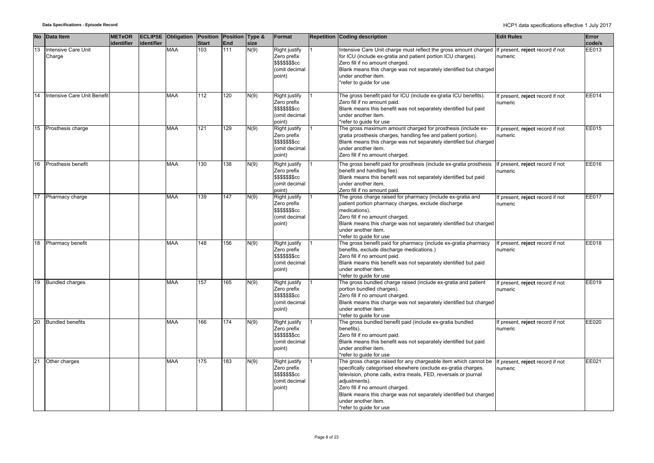|    | No Data Item                  | <b>METeOR</b><br>identifier | identifier | <b>ECLIPSE Obligation Position Position Type &amp;</b> | <b>Start</b>     | <b>End</b> | size | Format                                                                      | <b>Repetition Coding description</b>                                                                                                                                                                                                                                                                                                                                            | <b>Edit Rules</b>                           | Error<br>code/s |
|----|-------------------------------|-----------------------------|------------|--------------------------------------------------------|------------------|------------|------|-----------------------------------------------------------------------------|---------------------------------------------------------------------------------------------------------------------------------------------------------------------------------------------------------------------------------------------------------------------------------------------------------------------------------------------------------------------------------|---------------------------------------------|-----------------|
| 13 | Intensive Care Unit<br>Charge |                             |            | MAA                                                    | 103              | 111        | N(9) | Right justify<br>Zero prefix<br>\$\$\$\$\$\$\$cc<br>(omit decimal<br>point) | ntensive Care Unit charge must reflect the gross amount charged<br>for ICU (include ex-gratia and patient portion ICU charges).<br>Zero fill if no amount charged.<br>Blank means this charge was not separately identified but charged<br>under another item.<br>*refer to guide for use                                                                                       | If present, reject record if not<br>numeric | EE013           |
| 14 | Intensive Care Unit Benefi    |                             |            | MAA                                                    | $\overline{112}$ | 120        | N(9) | Right justify<br>Zero prefix<br>\$\$\$\$\$\$cc<br>(omit decimal<br>point)   | The gross benefit paid for ICU (include ex-gratia ICU benefits).<br>Zero fill if no amount paid.<br>Blank means this benefit was not separately identified but paid<br>under another item.<br>*refer to quide for use                                                                                                                                                           | f present, reject record if not<br>numeric  | EE014           |
| 15 | Prosthesis charge             |                             |            | <b>MAA</b>                                             | 121              | 129        | N(9) | Right justify<br>Zero prefix<br>\$\$\$\$\$\$\$cc<br>(omit decimal<br>point) | The gross maximum amount charged for prosthesis (include ex-<br>gratia prosthesis charges, handling fee and patient portion).<br>Blank means this charge was not separately identified but charged<br>under another item.<br>Zero fill if no amount charged.                                                                                                                    | f present, reject record if not<br>numeric  | EE015           |
| 16 | Prosthesis benefit            |                             |            | MAA                                                    | 130              | 138        | N(9) | Right justify<br>Zero prefix<br>\$\$\$\$\$\$cc<br>(omit decimal<br>point)   | The gross benefit paid for prosthesis (include ex-gratia prosthesis<br>benefit and handling fee).<br>Blank means this benefit was not separately identified but paid<br>under another item.<br>Zero fill if no amount paid                                                                                                                                                      | f present, reject record if not<br>numeric  | EE016           |
| 17 | Pharmacy charge               |                             |            | MAA                                                    | 139              | 147        | N(9) | Right justify<br>Zero prefix<br>\$\$\$\$\$\$cc<br>(omit decimal<br>point)   | The gross charge raised for pharmacy (include ex-gratia and<br>patient portion pharmacy charges, exclude discharge<br>medications).<br>Zero fill if no amount charged.<br>Blank means this charge was not separately identified but charged<br>under another item.<br>*refer to guide for use                                                                                   | present, reject record if not<br>numeric    | <b>EE017</b>    |
| 18 | Pharmacy benefit              |                             |            | MAA                                                    | 148              | 156        | N(9) | Right justify<br>Zero prefix<br>\$\$\$\$\$\$\$cc<br>(omit decimal<br>point) | The gross benefit paid for pharmacy (include ex-gratia pharmacy<br>benefits, exclude discharge medications.)<br>Zero fill if no amount paid.<br>Blank means this benefit was not separately identified but paid<br>under another item.<br>*refer to guide for use                                                                                                               | f present, reject record if not<br>numeric  | EE018           |
|    | 19 Bundled charges            |                             |            | MAA                                                    | 157              | 165        | N(9) | Right justify<br>Zero prefix<br>\$\$\$\$\$\$cc<br>(omit decimal<br>point)   | The gross bundled charge raised (include ex-gratia and patient<br>portion bundled charges).<br>Zero fill if no amount charged.<br>Blank means this charge was not separately identified but charged<br>under another item.<br>*refer to guide for use                                                                                                                           | f present, reject record if not<br>าumeric  | EE019           |
|    | 20 Bundled benefits           |                             |            | MAA                                                    | 166              | 174        | N(9) | Right justify<br>Zero prefix<br>\$\$\$\$\$\$cc<br>(omit decimal<br>point)   | The gross bundled benefit paid (include ex-gratia bundled<br>benefits).<br>Zero fill if no amount paid.<br>Blank means this benefit was not separately identified but paid<br>under another item.<br>*refer to guide for use                                                                                                                                                    | f present, reject record if not<br>numeric  | EE020           |
| 21 | Other charges                 |                             |            | MAA                                                    | 175              | 183        | N(9) | Right justify<br>Zero prefix<br>\$\$\$\$\$\$\$cc<br>(omit decimal<br>point) | The gross charge raised for any chargeable item which cannot be<br>specifically categorised elsewhere (exclude ex-gratia charges,<br>television, phone calls, extra meals, FED, reversals or journal<br>adjustments).<br>Zero fill if no amount charged.<br>Blank means this charge was not separately identified but charged<br>under another item.<br>*refer to quide for use | If present, reject record if not<br>numeric | EE021           |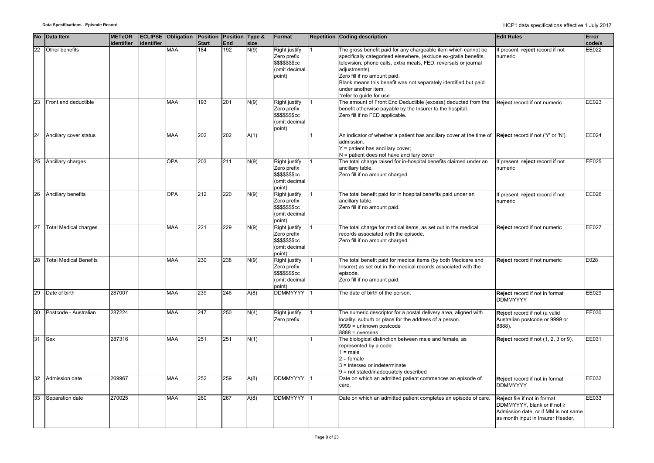|    | No Data Item                  | <b>METeOR</b><br>identifier | identifier | <b>ECLIPSE</b> Obligation | Position<br><b>Start</b> | Position Type &<br>End | size | Format                                                                      | <b>Repetition Coding description</b>                                                                                                                                                                                                                                                                                                                                        | <b>Edit Rules</b>                                                                                                                        | Error<br>code/s |
|----|-------------------------------|-----------------------------|------------|---------------------------|--------------------------|------------------------|------|-----------------------------------------------------------------------------|-----------------------------------------------------------------------------------------------------------------------------------------------------------------------------------------------------------------------------------------------------------------------------------------------------------------------------------------------------------------------------|------------------------------------------------------------------------------------------------------------------------------------------|-----------------|
| 22 | Other benefits                |                             |            | <b>MAA</b>                | 184                      | 192                    | N(9) | Right justify<br>Zero prefix<br>\$\$\$\$\$\$\$cc<br>(omit decimal<br>point) | The gross benefit paid for any chargeable item which cannot be<br>specifically categorised elsewhere, (exclude ex-gratia benefits,<br>television, phone calls, extra meals, FED, reversals or journal<br>adjustments).<br>Zero fill if no amount paid.<br>Blank means this benefit was not separately identified but paid<br>under another item.<br>*refer to quide for use | If present, reject record if not<br>numeric                                                                                              | EE022           |
| 23 | Front end deductible          |                             |            | <b>MAA</b>                | 193                      | 201                    | N(9) | Right justify<br>Zero prefix<br>\$\$\$\$\$\$\$cc<br>(omit decimal<br>point) | The amount of Front End Deductible (excess) deducted from the<br>benefit otherwise payable by the Insurer to the hospital.<br>Zero fill if no FED applicable.                                                                                                                                                                                                               | Reject record if not numeric                                                                                                             | EE023           |
|    | 24 Ancillary cover status     |                             |            | <b>MAA</b>                | 202                      | 202                    | A(1) |                                                                             | An indicator of whether a patient has ancillary cover at the time of<br>admission.<br>Y = patient has ancillary cover;<br>N = patient does not have ancillary cover                                                                                                                                                                                                         | Reject record if not ('Y' or 'N').                                                                                                       | EE024           |
|    | 25 Ancillary charges          |                             |            | <b>OPA</b>                | 203                      | 211                    | N(9) | Right justify<br>Zero prefix<br>\$\$\$\$\$\$\$cc<br>(omit decimal<br>point) | The total charge raised for in-hospital benefits claimed under an<br>ancillary table.<br>Zero fill if no amount charged.                                                                                                                                                                                                                                                    | If present, reject record if not<br>numeric                                                                                              | EE025           |
| 26 | Ancillary benefits            |                             |            | <b>OPA</b>                | 212                      | 220                    | N(9) | Right justify<br>Zero prefix<br>\$\$\$\$\$\$\$cc<br>(omit decimal<br>point) | The total benefit paid for in hospital benefits paid under an<br>ancillary table.<br>Zero fill if no amount paid.                                                                                                                                                                                                                                                           | If present, reject record if not<br>numeric                                                                                              | EE026           |
| 27 | <b>Total Medical charges</b>  |                             |            | <b>MAA</b>                | 221                      | 229                    | N(9) | Right justify<br>Zero prefix<br>\$\$\$\$\$\$\$cc<br>(omit decimal<br>point) | The total charge for medical items, as set out in the medical<br>records associated with the episode.<br>Zero fill if no amount charged.                                                                                                                                                                                                                                    | Reject record if not numeric                                                                                                             | EE027           |
| 28 | <b>Total Medical Benefits</b> |                             |            | <b>MAA</b>                | 230                      | 238                    | N(9) | Right justify<br>Zero prefix<br>\$\$\$\$\$\$\$cc<br>(omit decimal<br>point) | The total benefit paid for medical items (by both Medicare and<br>Insurer) as set out in the medical records associated with the<br>episode.<br>Zero fill if no amount paid.                                                                                                                                                                                                | Reject record if not numeric                                                                                                             | E028            |
|    | 29 Date of birth              | 287007                      |            | <b>MAA</b>                | 239                      | 246                    | A(8) | DDMMYYYY 1                                                                  | The date of birth of the person.                                                                                                                                                                                                                                                                                                                                            | Reject record if not in format<br><b>DDMMYYYY</b>                                                                                        | EE029           |
| 30 | Postcode - Australian         | 287224                      |            | <b>MAA</b>                | 247                      | 250                    | N(4) | Right justify<br>Zero prefix                                                | The numeric descriptor for a postal delivery area, aligned with<br>locality, suburb or place for the address of a person.<br>9999 = unknown postcode<br>$8888 = 0$ verseas                                                                                                                                                                                                  | Reject record if not (a valid<br>Australian postcode or 9999 or<br>8888).                                                                | EE030           |
| 31 | Sex                           | 287316                      |            | <b>MAA</b>                | 251                      | 251                    | N(1) |                                                                             | The biological distinction between male and female, as<br>represented by a code.<br>$1 = male$<br>$2 =$ female<br>3 = intersex or indeterminate<br>9 = not stated/inadequately described                                                                                                                                                                                    | Reject record if not (1, 2, 3 or 9).                                                                                                     | EE031           |
| 32 | Admission date                | 269967                      |            | <b>MAA</b>                | 252                      | 259                    | A(8) | <b>DDMMYYYY</b>                                                             | Date on which an admitted patient commences an episode of<br>care.                                                                                                                                                                                                                                                                                                          | Reject record if not in format<br><b>DDMMYYYY</b>                                                                                        | EE032           |
| 33 | Separation date               | 270025                      |            | <b>MAA</b>                | 260                      | 267                    | A(8) | DDMMYYYY 1                                                                  | Date on which an admitted patient completes an episode of care.                                                                                                                                                                                                                                                                                                             | Reject file if not in format<br>DDMMYYYY, blank or if not ≥<br>Admission date, or if MM is not same<br>as month input in Insurer Header. | EE033           |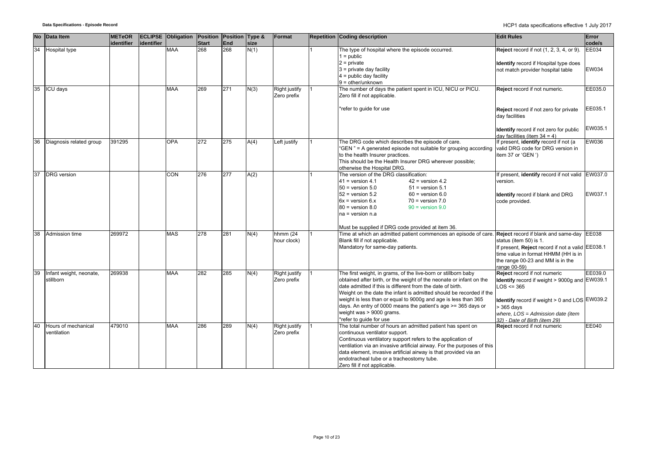| <b>No</b>       | Data Item                            | <b>METeOR</b><br>identifier | identifier | <b>ECLIPSE Obligation Position Position Type &amp;</b> | <b>Start</b> | <b>End</b> | size | Format                              | <b>Repetition Coding description</b>                                                                                                                                                                                                                                                                                                                                                                                                                                | <b>Edit Rules</b>                                                                                                                                                                                                                        | Error<br>code/s    |
|-----------------|--------------------------------------|-----------------------------|------------|--------------------------------------------------------|--------------|------------|------|-------------------------------------|---------------------------------------------------------------------------------------------------------------------------------------------------------------------------------------------------------------------------------------------------------------------------------------------------------------------------------------------------------------------------------------------------------------------------------------------------------------------|------------------------------------------------------------------------------------------------------------------------------------------------------------------------------------------------------------------------------------------|--------------------|
| $\overline{34}$ | Hospital type                        |                             |            | <b>MAA</b>                                             | 268          | 268        | N(1) |                                     | The type of hospital where the episode occurred.<br>$1 = \text{public}$<br>$2$ = private<br>$3$ = private day facility<br>$4$ = public day facility<br>$9 = other/unknown$                                                                                                                                                                                                                                                                                          | <b>Reject</b> record if not (1, 2, 3, 4, or 9).<br>Identify record if Hospital type does<br>not match provider hospital table                                                                                                            | EE034<br>EW034     |
| 35              | ICU davs                             |                             |            | <b>MAA</b>                                             | 269          | 271        | N(3) | <b>Right justify</b><br>Zero prefix | The number of days the patient spent in ICU, NICU or PICU.<br>Zero fill if not applicable.<br>*refer to guide for use                                                                                                                                                                                                                                                                                                                                               | Reject record if not numeric.<br>Reject record if not zero for private<br>day facilities                                                                                                                                                 | EE035.0<br>EE035.1 |
|                 |                                      |                             |            |                                                        |              |            |      |                                     |                                                                                                                                                                                                                                                                                                                                                                                                                                                                     | Identify record if not zero for public<br>day facilities (item $34 = 4$ )                                                                                                                                                                | EW035.1            |
| 36              | Diagnosis related group              | 391295                      |            | <b>OPA</b>                                             | 272          | 275        | A(4) | Left justify                        | The DRG code which describes the episode of care.<br>"GEN" = A generated episode not suitable for grouping according<br>to the health Insurer practices.<br>This should be the Health Insurer DRG wherever possible;<br>otherwise the Hospital DRG.                                                                                                                                                                                                                 | If present, identify record if not (a<br>valid DRG code for DRG version in<br>item 37 or 'GEN ')                                                                                                                                         | <b>EW036</b>       |
| 37              | <b>DRG</b> version                   |                             |            | CON                                                    | 276          | 277        | A(2) |                                     | The version of the DRG classification:<br>$41$ = version 4.1<br>$42$ = version 4.2<br>$50$ = version $5.0$<br>$51$ = version $5.1$<br>$52$ = version $5.2$<br>$60$ = version $6.0$<br>$6x = version 6.x$<br>$70$ = version $7.0$<br>$90 =$ version $9.0$<br>$80$ = version $8.0$<br>na = version n.a<br>Must be supplied if DRG code provided at item 36.                                                                                                           | If present, identify record if not valid EW037.0<br>version.<br>Identify record if blank and DRG<br>code provided.                                                                                                                       | EW037.1            |
| 38              | Admission time                       | 269972                      |            | <b>MAS</b>                                             | 278          | 281        | N(4) | hhmm $(24)$<br>hour clock)          | Time at which an admitted patient commences an episode of care. Reject record if blank and same-day EE038<br>Blank fill if not applicable.<br>Mandatory for same-day patients.                                                                                                                                                                                                                                                                                      | status (item 50) is 1.<br>If present, Reject record if not a valid EE038.1<br>time value in format HHMM (HH is in<br>the range 00-23 and MM is in the<br>range 00-59)                                                                    |                    |
| 39              | Infant weight, neonate,<br>stillborn | 269938                      |            | <b>MAA</b>                                             | 282          | 285        | N(4) | Right justify<br>Zero prefix        | The first weight, in grams, of the live-born or stillborn baby<br>obtained after birth, or the weight of the neonate or infant on the<br>date admitted if this is different from the date of birth.<br>Weight on the date the infant is admitted should be recorded if the<br>weight is less than or equal to 9000g and age is less than 365<br>days. An entry of 0000 means the patient's age >= 365 days or<br>weight was > 9000 grams.<br>refer to guide for use | Reject record if not numeric<br><b>Identify</b> record if weight > 9000g and EW039.1<br>$OS \leq 365$<br>Identify record if weight > 0 and LOS EW039.2<br>365 days<br>where, LOS = Admission date (item<br>32) - Date of Birth (item 29) | EE039.0            |
| 40              | Hours of mechanical<br>ventilation   | 479010                      |            | <b>MAA</b>                                             | 286          | 289        | N(4) | Right justify<br>Zero prefix        | The total number of hours an admitted patient has spent on<br>continuous ventilator support.<br>Continuous ventilatory support refers to the application of<br>ventilation via an invasive artificial airway. For the purposes of this<br>data element, invasive artificial airway is that provided via an<br>endotracheal tube or a tracheostomy tube.<br>Zero fill if not applicable.                                                                             | Reject record if not numeric                                                                                                                                                                                                             | EE040              |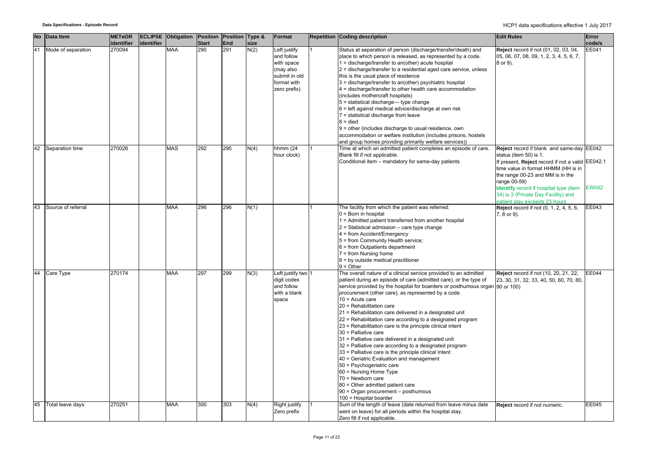|    | No Data Item       | <b>METeOR</b>        |            | <b>ECLIPSE Obligation Position Position Type &amp;</b> |                     |            |      | Format                                                | <b>Repetition Coding description</b>                                                                                                                                                                                                                     | <b>Edit Rules</b>                                                                             | Error           |
|----|--------------------|----------------------|------------|--------------------------------------------------------|---------------------|------------|------|-------------------------------------------------------|----------------------------------------------------------------------------------------------------------------------------------------------------------------------------------------------------------------------------------------------------------|-----------------------------------------------------------------------------------------------|-----------------|
|    |                    | identifier<br>270094 | identifier | <b>MAA</b>                                             | <b>Start</b><br>290 | End<br>291 | size |                                                       |                                                                                                                                                                                                                                                          |                                                                                               | code/s<br>EE041 |
| 41 | Mode of separation |                      |            |                                                        |                     |            | N(2) | Left justify<br>and follow<br>with space<br>(may also | Status at separation of person (discharge/transfer/death) and<br>place to which person is released, as represented by a code.<br>1 = discharge/transfer to an(other) acute hospital<br>2 = discharge/transfer to a residential aged care service, unless | Reject record if not (01, 02, 03, 04,<br>05, 06, 07, 08, 09, 1, 2, 3, 4, 5, 6, 7,<br>8 or 9). |                 |
|    |                    |                      |            |                                                        |                     |            |      | submit in old<br>format with                          | this is the usual place of residence<br>3 = discharge/transfer to an(other) psychiatric hospital                                                                                                                                                         |                                                                                               |                 |
|    |                    |                      |            |                                                        |                     |            |      | zero prefix)                                          | 4 = discharge/transfer to other health care accommodation<br>(includes mothercraft hospitals)<br>5 = statistical discharge-type change                                                                                                                   |                                                                                               |                 |
|    |                    |                      |            |                                                        |                     |            |      |                                                       | $6$ = left against medical advice/discharge at own risk<br>7 = statistical discharge from leave                                                                                                                                                          |                                                                                               |                 |
|    |                    |                      |            |                                                        |                     |            |      |                                                       | $8 =$ died<br>9 = other (includes discharge to usual residence, own                                                                                                                                                                                      |                                                                                               |                 |
|    |                    |                      |            |                                                        |                     |            |      |                                                       | accommodation or welfare institution (includes prisons, hostels<br>and group homes providing primarily welfare services))                                                                                                                                |                                                                                               |                 |
| 42 | Separation time    | 270026               |            | <b>MAS</b>                                             | 292                 | 295        | N(4) | hhmm (24<br>hour clock)                               | Time at which an admitted patient completes an episode of care.<br>Blank fill if not applicable.                                                                                                                                                         | Reject record if blank and same-day EE042<br>status (item 50) is 1.                           |                 |
|    |                    |                      |            |                                                        |                     |            |      |                                                       | Conditional item - mandatory for same-day patients                                                                                                                                                                                                       | If present, Reject record if not a valid EE042.1<br>time value in format HHMM (HH is in       |                 |
|    |                    |                      |            |                                                        |                     |            |      |                                                       |                                                                                                                                                                                                                                                          | the range 00-23 and MM is in the<br>range 00-59)<br>Identify record if hospital type (item    | <b>EW042</b>    |
|    |                    |                      |            |                                                        |                     |            |      |                                                       |                                                                                                                                                                                                                                                          | 34) is 3 (Private Day Facility) and<br>patient stay exceeds 23 hours                          |                 |
| 43 | Source of referral |                      |            | <b>MAA</b>                                             | 296                 | 296        | N(1) |                                                       | The facility from which the patient was referred:<br>$0 =$ Born in hospital                                                                                                                                                                              | <b>Reject</b> record if not (0, 1, 2, 4, 5, 6,<br>7, 8 or 9).                                 | EE043           |
|    |                    |                      |            |                                                        |                     |            |      |                                                       | 1 = Admitted patient transferred from another hospital<br>$2$ = Statistical admission – care type change<br>4 = from Accident/Emergency                                                                                                                  |                                                                                               |                 |
|    |                    |                      |            |                                                        |                     |            |      |                                                       | 5 = from Community Health service;<br>6 = from Outpatients department                                                                                                                                                                                    |                                                                                               |                 |
|    |                    |                      |            |                                                        |                     |            |      |                                                       | $7 = from Nursing home$<br>8 = by outside medical practitioner                                                                                                                                                                                           |                                                                                               |                 |
| 44 | Care Type          | 270174               |            | <b>MAA</b>                                             | 297                 | 299        | N(3) | Left justify two 1                                    | $9 = Other$<br>The overall nature of a clinical service provided to an admitted                                                                                                                                                                          | Reject record if not (10, 20, 21, 22,                                                         | EE044           |
|    |                    |                      |            |                                                        |                     |            |      | digit codes<br>and follow                             | patient during an episode of care (admitted care), or the type of<br>service provided by the hospital for boarders or posthumous organ 90 or 100)                                                                                                        | 23, 30, 31, 32, 33, 40, 50, 60, 70, 80,                                                       |                 |
|    |                    |                      |            |                                                        |                     |            |      | with a blank<br>space                                 | procurement (other care), as represented by a code.<br>$10 =$ Acute care                                                                                                                                                                                 |                                                                                               |                 |
|    |                    |                      |            |                                                        |                     |            |      |                                                       | 20 = Rehabilitation care<br>21 = Rehabilitation care delivered in a designated unit<br>22 = Rehabilitation care according to a designated program                                                                                                        |                                                                                               |                 |
|    |                    |                      |            |                                                        |                     |            |      |                                                       | 23 = Rehabilitation care is the principle clinical intent<br>30 = Palliative care                                                                                                                                                                        |                                                                                               |                 |
|    |                    |                      |            |                                                        |                     |            |      |                                                       | 31 = Palliative care delivered in a designated unit<br>32 = Palliative care according to a designated program                                                                                                                                            |                                                                                               |                 |
|    |                    |                      |            |                                                        |                     |            |      |                                                       | 33 = Palliative care is the principle clinical intent<br>40 = Geriatric Evaluation and management                                                                                                                                                        |                                                                                               |                 |
|    |                    |                      |            |                                                        |                     |            |      |                                                       | 50 = Psychogeriatric care<br>60 = Nursing Home Type                                                                                                                                                                                                      |                                                                                               |                 |
|    |                    |                      |            |                                                        |                     |            |      |                                                       | 70 = Newborn care<br>80 = Other admitted patient care<br>90 = Organ procurement - posthumous                                                                                                                                                             |                                                                                               |                 |
|    |                    |                      |            |                                                        |                     |            |      |                                                       | 100 = Hospital boarder                                                                                                                                                                                                                                   |                                                                                               |                 |
| 45 | Total leave days   | 270251               |            | <b>MAA</b>                                             | 300                 | 303        | N(4) | Right justify<br>Zero prefix                          | Sum of the length of leave (date returned from leave minus date<br>went on leave) for all periods within the hospital stay.<br>Zero fill if not applicable.                                                                                              | Reject record if not numeric.                                                                 | EE045           |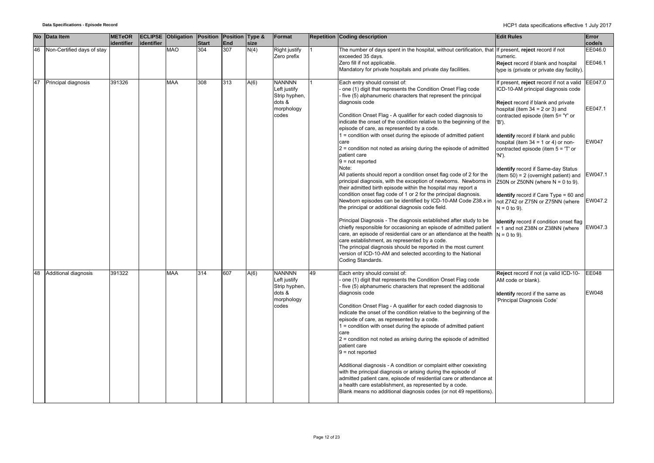|    | No Data Item               | <b>METeOR</b> |            | <b>ECLIPSE Obligation Position Position Type &amp;</b> |              |     |      | Format                  |    | <b>Repetition Coding description</b>                                                                                                      | <b>Edit Rules</b>                                                       | Error        |
|----|----------------------------|---------------|------------|--------------------------------------------------------|--------------|-----|------|-------------------------|----|-------------------------------------------------------------------------------------------------------------------------------------------|-------------------------------------------------------------------------|--------------|
|    |                            | identifier    | identifier |                                                        | <b>Start</b> | End | size |                         |    |                                                                                                                                           |                                                                         | code/s       |
| 46 | Non-Certified days of stay |               |            | <b>MAO</b>                                             | 304          | 307 | N(4) | <b>Right justify</b>    |    | The number of days spent in the hospital, without certification, that                                                                     | If present, reject record if not                                        | EE046.0      |
|    |                            |               |            |                                                        |              |     |      | Zero prefix             |    | exceeded 35 days.                                                                                                                         | numeric.                                                                |              |
|    |                            |               |            |                                                        |              |     |      |                         |    | Zero fill if not applicable.                                                                                                              | Reject record if blank and hospital                                     | EE046.1      |
|    |                            |               |            |                                                        |              |     |      |                         |    | Mandatory for private hospitals and private day facilities.                                                                               | type is (private or private day facility).                              |              |
|    |                            |               |            |                                                        |              |     |      |                         |    |                                                                                                                                           |                                                                         |              |
| 47 | Principal diagnosis        | 391326        |            | <b>MAA</b>                                             | 308          | 313 | A(6) | <b>NANNNN</b>           |    | Each entry should consist of:                                                                                                             | f present, reject record if not a valid EE047.0                         |              |
|    |                            |               |            |                                                        |              |     |      | Left justify            |    | one (1) digit that represents the Condition Onset Flag code                                                                               | ICD-10-AM principal diagnosis code                                      |              |
|    |                            |               |            |                                                        |              |     |      | Strip hyphen,<br>dots & |    | five (5) alphanumeric characters that represent the principal<br>diagnosis code                                                           |                                                                         |              |
|    |                            |               |            |                                                        |              |     |      | morphology              |    |                                                                                                                                           | Reject record if blank and private<br>hospital (item $34 = 2$ or 3) and | EE047.1      |
|    |                            |               |            |                                                        |              |     |      | codes                   |    | Condition Onset Flag - A qualifier for each coded diagnosis to                                                                            | contracted episode (item 5= 'Y' or                                      |              |
|    |                            |               |            |                                                        |              |     |      |                         |    | indicate the onset of the condition relative to the beginning of the                                                                      | 'B').                                                                   |              |
|    |                            |               |            |                                                        |              |     |      |                         |    | episode of care, as represented by a code.                                                                                                |                                                                         |              |
|    |                            |               |            |                                                        |              |     |      |                         |    | 1 = condition with onset during the episode of admitted patient                                                                           | dentify record if blank and public                                      |              |
|    |                            |               |            |                                                        |              |     |      |                         |    | care                                                                                                                                      | nospital (item 34 = 1 or 4) or non-                                     | EW047        |
|    |                            |               |            |                                                        |              |     |      |                         |    | $2$ = condition not noted as arising during the episode of admitted                                                                       | contracted episode (item 5 = 'T' or                                     |              |
|    |                            |               |            |                                                        |              |     |      |                         |    | patient care                                                                                                                              | 'N').                                                                   |              |
|    |                            |               |            |                                                        |              |     |      |                         |    | $9 = not reported$                                                                                                                        |                                                                         |              |
|    |                            |               |            |                                                        |              |     |      |                         |    | Note:                                                                                                                                     | Identify record if Same-day Status                                      |              |
|    |                            |               |            |                                                        |              |     |      |                         |    | All patients should report a condition onset flag code of 2 for the                                                                       | Item $50$ ) = 2 (overnight patient) and                                 | EW047.1      |
|    |                            |               |            |                                                        |              |     |      |                         |    | principal diagnosis, with the exception of newborns. Newborns in                                                                          | Z50N or Z50NN (where $N = 0$ to 9).                                     |              |
|    |                            |               |            |                                                        |              |     |      |                         |    | their admitted birth episode within the hospital may report a                                                                             |                                                                         |              |
|    |                            |               |            |                                                        |              |     |      |                         |    | condition onset flag code of 1 or 2 for the principal diagnosis.                                                                          | Identify record if Care Type = 60 and                                   |              |
|    |                            |               |            |                                                        |              |     |      |                         |    | Newborn episodes can be identified by ICD-10-AM Code Z38.x in                                                                             | not Z742 or Z75N or Z75NN (where                                        | EW047.2      |
|    |                            |               |            |                                                        |              |     |      |                         |    | the principal or additional diagnosis code field.                                                                                         | $N = 0$ to 9).                                                          |              |
|    |                            |               |            |                                                        |              |     |      |                         |    |                                                                                                                                           |                                                                         |              |
|    |                            |               |            |                                                        |              |     |      |                         |    | Principal Diagnosis - The diagnosis established after study to be                                                                         | dentify record if condition onset flag                                  |              |
|    |                            |               |            |                                                        |              |     |      |                         |    | chiefly responsible for occasioning an episode of admitted patient<br>care, an episode of residential care or an attendance at the health | = 1 and not Z38N or Z38NN (where                                        | EW047.3      |
|    |                            |               |            |                                                        |              |     |      |                         |    | care establishment, as represented by a code.                                                                                             | $N = 0$ to 9).                                                          |              |
|    |                            |               |            |                                                        |              |     |      |                         |    | The principal diagnosis should be reported in the most current                                                                            |                                                                         |              |
|    |                            |               |            |                                                        |              |     |      |                         |    | version of ICD-10-AM and selected according to the National                                                                               |                                                                         |              |
|    |                            |               |            |                                                        |              |     |      |                         |    | Coding Standards.                                                                                                                         |                                                                         |              |
|    |                            |               |            |                                                        |              |     |      |                         |    |                                                                                                                                           |                                                                         |              |
| 48 | Additional diagnosis       | 391322        |            | <b>MAA</b>                                             | 314          | 607 | A(6) | <b>NANNNN</b>           | 49 | Each entry should consist of:                                                                                                             | Reject record if not (a valid ICD-10-                                   | <b>EE048</b> |
|    |                            |               |            |                                                        |              |     |      | Left justify            |    | one (1) digit that represents the Condition Onset Flag code                                                                               | AM code or blank).                                                      |              |
|    |                            |               |            |                                                        |              |     |      | Strip hyphen,           |    | five (5) alphanumeric characters that represent the additional                                                                            |                                                                         |              |
|    |                            |               |            |                                                        |              |     |      | dots &                  |    | diagnosis code                                                                                                                            | Identify record if the same as                                          | EW048        |
|    |                            |               |            |                                                        |              |     |      | morphology              |    |                                                                                                                                           | 'Principal Diagnosis Code'                                              |              |
|    |                            |               |            |                                                        |              |     |      | codes                   |    | Condition Onset Flag - A qualifier for each coded diagnosis to                                                                            |                                                                         |              |
|    |                            |               |            |                                                        |              |     |      |                         |    | indicate the onset of the condition relative to the beginning of the                                                                      |                                                                         |              |
|    |                            |               |            |                                                        |              |     |      |                         |    | episode of care, as represented by a code.                                                                                                |                                                                         |              |
|    |                            |               |            |                                                        |              |     |      |                         |    | 1 = condition with onset during the episode of admitted patient<br>care                                                                   |                                                                         |              |
|    |                            |               |            |                                                        |              |     |      |                         |    | $2$ = condition not noted as arising during the episode of admitted                                                                       |                                                                         |              |
|    |                            |               |            |                                                        |              |     |      |                         |    | patient care                                                                                                                              |                                                                         |              |
|    |                            |               |            |                                                        |              |     |      |                         |    | $9 = not reported$                                                                                                                        |                                                                         |              |
|    |                            |               |            |                                                        |              |     |      |                         |    |                                                                                                                                           |                                                                         |              |
|    |                            |               |            |                                                        |              |     |      |                         |    | Additional diagnosis - A condition or complaint either coexisting                                                                         |                                                                         |              |
|    |                            |               |            |                                                        |              |     |      |                         |    | with the principal diagnosis or arising during the episode of                                                                             |                                                                         |              |
|    |                            |               |            |                                                        |              |     |      |                         |    | admitted patient care, episode of residential care or attendance at                                                                       |                                                                         |              |
|    |                            |               |            |                                                        |              |     |      |                         |    | a health care establishment, as represented by a code.                                                                                    |                                                                         |              |
|    |                            |               |            |                                                        |              |     |      |                         |    | Blank means no additional diagnosis codes (or not 49 repetitions).                                                                        |                                                                         |              |
|    |                            |               |            |                                                        |              |     |      |                         |    |                                                                                                                                           |                                                                         |              |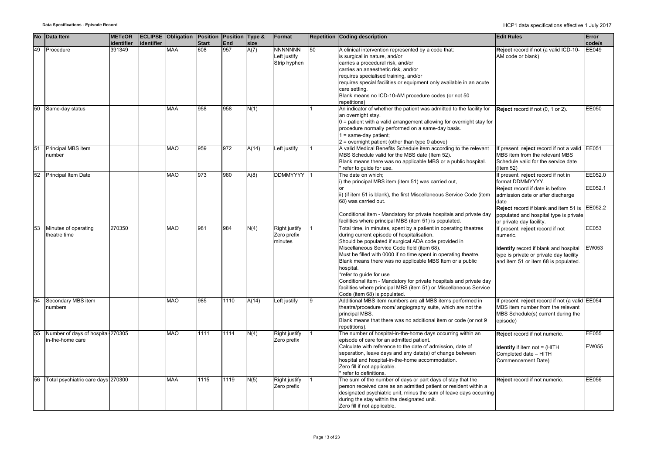| <b>No</b> | Data Item                            | <b>METeOR</b><br>identifier | lidentifier | <b>ECLIPSE Obligation Position Position Type &amp;</b> | <b>Start</b> | End  | size  | Format                              |    | <b>Repetition Coding description</b>                                                                               | <b>Edit Rules</b>                                                                    | Error<br>code/s |
|-----------|--------------------------------------|-----------------------------|-------------|--------------------------------------------------------|--------------|------|-------|-------------------------------------|----|--------------------------------------------------------------------------------------------------------------------|--------------------------------------------------------------------------------------|-----------------|
| 49        | Procedure                            | 391349                      |             | <b>MAA</b>                                             | 608          | 957  | A(7)  | <b>NNNNNNN</b>                      | 50 | A clinical intervention represented by a code that:                                                                | Reject record if not (a valid ICD-10-                                                | <b>EE049</b>    |
|           |                                      |                             |             |                                                        |              |      |       | Left justify                        |    | is surgical in nature, and/or                                                                                      | AM code or blank)                                                                    |                 |
|           |                                      |                             |             |                                                        |              |      |       | Strip hyphen                        |    | carries a procedural risk, and/or<br>carries an anaesthetic risk, and/or                                           |                                                                                      |                 |
|           |                                      |                             |             |                                                        |              |      |       |                                     |    | requires specialised training, and/or                                                                              |                                                                                      |                 |
|           |                                      |                             |             |                                                        |              |      |       |                                     |    | requires special facilities or equipment only available in an acute                                                |                                                                                      |                 |
|           |                                      |                             |             |                                                        |              |      |       |                                     |    | care setting.                                                                                                      |                                                                                      |                 |
|           |                                      |                             |             |                                                        |              |      |       |                                     |    | Blank means no ICD-10-AM procedure codes (or not 50                                                                |                                                                                      |                 |
|           |                                      |                             |             |                                                        |              |      |       |                                     |    | repetitions)                                                                                                       |                                                                                      |                 |
| 50        | Same-day status                      |                             |             | <b>MAA</b>                                             | 958          | 958  | N(1)  |                                     |    | An indicator of whether the patient was admitted to the facility for                                               | Reject record if not (0, 1 or 2).                                                    | EE050           |
|           |                                      |                             |             |                                                        |              |      |       |                                     |    | an overnight stay.                                                                                                 |                                                                                      |                 |
|           |                                      |                             |             |                                                        |              |      |       |                                     |    | $0 =$ patient with a valid arrangement allowing for overnight stay for                                             |                                                                                      |                 |
|           |                                      |                             |             |                                                        |              |      |       |                                     |    | procedure normally performed on a same-day basis.                                                                  |                                                                                      |                 |
|           |                                      |                             |             |                                                        |              |      |       |                                     |    | 1 = same-day patient;                                                                                              |                                                                                      |                 |
|           |                                      |                             |             | <b>MAO</b>                                             | 959          | 972  |       |                                     |    | 2 = overnight patient (other than type 0 above)                                                                    |                                                                                      |                 |
| 51        | Principal MBS item<br>number         |                             |             |                                                        |              |      | A(14) | Left justify                        |    | A valid Medical Benefits Schedule item according to the relevant<br>MBS Schedule valid for the MBS date (Item 52). | If present, reject record if not a valid EE051<br>MBS item from the relevant MBS     |                 |
|           |                                      |                             |             |                                                        |              |      |       |                                     |    | Blank means there was no applicable MBS or a public hospital.                                                      | Schedule valid for the service date                                                  |                 |
|           |                                      |                             |             |                                                        |              |      |       |                                     |    | refer to guide for use.                                                                                            | $($ ltem 52 $)$                                                                      |                 |
| 52        | <b>Principal Item Date</b>           |                             |             | <b>MAO</b>                                             | 973          | 980  | A(8)  | <b>DDMMYYYY</b>                     |    | The date on which;                                                                                                 | If present, reject record if not in                                                  | EE052.0         |
|           |                                      |                             |             |                                                        |              |      |       |                                     |    | i) the principal MBS item (item 51) was carried out,                                                               | format DDMMYYYY.                                                                     |                 |
|           |                                      |                             |             |                                                        |              |      |       |                                     |    |                                                                                                                    | Reject record if date is before                                                      | EE052.1         |
|           |                                      |                             |             |                                                        |              |      |       |                                     |    | ii) (if item 51 is blank), the first Miscellaneous Service Code (item                                              | admission date or after discharge                                                    |                 |
|           |                                      |                             |             |                                                        |              |      |       |                                     |    | 68) was carried out.                                                                                               | date                                                                                 |                 |
|           |                                      |                             |             |                                                        |              |      |       |                                     |    |                                                                                                                    | <b>Reject</b> record if blank and item 51 is                                         | EE052.2         |
|           |                                      |                             |             |                                                        |              |      |       |                                     |    | Conditional item - Mandatory for private hospitals and private day                                                 | populated and hospital type is private                                               |                 |
|           |                                      | 270350                      |             | <b>MAO</b>                                             | 981          | 984  |       |                                     |    | facilities where principal MBS (item 51) is populated.                                                             | or private day facility.                                                             |                 |
| 53        | Minutes of operating<br>theatre time |                             |             |                                                        |              |      | N(4)  | <b>Right justify</b><br>Zero prefix |    | Total time, in minutes, spent by a patient in operating theatres<br>during current episode of hospitalisation.     | If present, reject record if not<br>numeric.                                         | EE053           |
|           |                                      |                             |             |                                                        |              |      |       | minutes                             |    | Should be populated if surgical ADA code provided in                                                               |                                                                                      |                 |
|           |                                      |                             |             |                                                        |              |      |       |                                     |    | Miscellaneous Service Code field (item 68).                                                                        | Identify record if blank and hospital                                                | EW053           |
|           |                                      |                             |             |                                                        |              |      |       |                                     |    | Must be filled with 0000 if no time spent in operating theatre.                                                    | type is private or private day facility                                              |                 |
|           |                                      |                             |             |                                                        |              |      |       |                                     |    | Blank means there was no applicable MBS Item or a public                                                           | and item 51 or item 68 is populated.                                                 |                 |
|           |                                      |                             |             |                                                        |              |      |       |                                     |    | hospital.                                                                                                          |                                                                                      |                 |
|           |                                      |                             |             |                                                        |              |      |       |                                     |    | *refer to guide for use                                                                                            |                                                                                      |                 |
|           |                                      |                             |             |                                                        |              |      |       |                                     |    | Conditional item - Mandatory for private hospitals and private day                                                 |                                                                                      |                 |
|           |                                      |                             |             |                                                        |              |      |       |                                     |    | facilities where principal MBS (item 51) or Miscellaneous Service                                                  |                                                                                      |                 |
| 54        | Secondary MBS item                   |                             |             | <b>MAO</b>                                             | 985          | 1110 |       | Left justify                        | 9  | Code (item 68) is populated.<br>Additional MBS item numbers are all MBS items performed in                         |                                                                                      |                 |
|           | numbers                              |                             |             |                                                        |              |      | A(14) |                                     |    | theatre/procedure room/ angiography suite, which are not the                                                       | If present, reject record if not (a valid EE054<br>MBS item number from the relevant |                 |
|           |                                      |                             |             |                                                        |              |      |       |                                     |    | principal MBS.                                                                                                     | MBS Schedule(s) current during the                                                   |                 |
|           |                                      |                             |             |                                                        |              |      |       |                                     |    | Blank means that there was no additional item or code (or not 9                                                    | episode)                                                                             |                 |
|           |                                      |                             |             |                                                        |              |      |       |                                     |    | repetitions).                                                                                                      |                                                                                      |                 |
| 55        | Number of days of hospital 270305    |                             |             | <b>MAO</b>                                             | 1111         | 1114 | N(4)  | Right justify                       |    | The number of hospital-in-the-home days occurring within an                                                        | Reject record if not numeric.                                                        | EE055           |
|           | in-the-home care                     |                             |             |                                                        |              |      |       | Zero prefix                         |    | episode of care for an admitted patient.                                                                           |                                                                                      |                 |
|           |                                      |                             |             |                                                        |              |      |       |                                     |    | Calculate with reference to the date of admission, date of                                                         | <b>Identify</b> if item not = (HITH                                                  | <b>EW055</b>    |
|           |                                      |                             |             |                                                        |              |      |       |                                     |    | separation, leave days and any date(s) of change between                                                           | Completed date - HITH                                                                |                 |
|           |                                      |                             |             |                                                        |              |      |       |                                     |    | hospital and hospital-in-the-home accommodation.                                                                   | Commencement Date)                                                                   |                 |
|           |                                      |                             |             |                                                        |              |      |       |                                     |    | Zero fill if not applicable.                                                                                       |                                                                                      |                 |
| 56        | Total psychiatric care days 270300   |                             |             | <b>MAA</b>                                             | 1115         | 1119 |       | Right justify                       |    | refer to definitions.<br>The sum of the number of days or part days of stay that the                               |                                                                                      | EE056           |
|           |                                      |                             |             |                                                        |              |      | N(5)  | Zero prefix                         |    | person received care as an admitted patient or resident within a                                                   | Reject record if not numeric.                                                        |                 |
|           |                                      |                             |             |                                                        |              |      |       |                                     |    | designated psychiatric unit, minus the sum of leave days occurring                                                 |                                                                                      |                 |
|           |                                      |                             |             |                                                        |              |      |       |                                     |    | during the stay within the designated unit.                                                                        |                                                                                      |                 |
|           |                                      |                             |             |                                                        |              |      |       |                                     |    | Zero fill if not applicable.                                                                                       |                                                                                      |                 |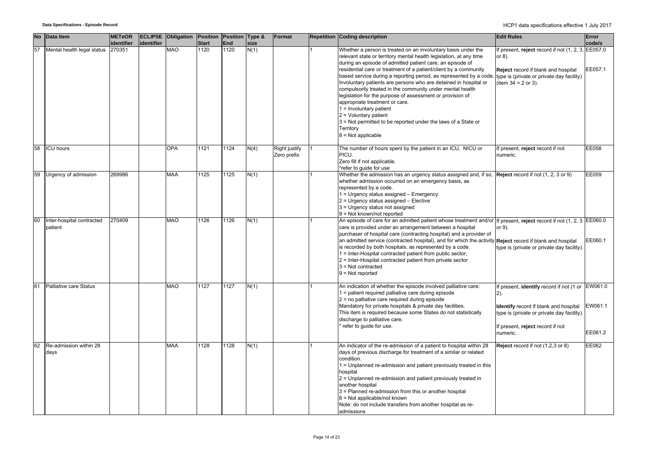| <b>No</b> | Data Item                            | <b>METeOR</b> |            | <b>ECLIPSE Obligation Position Position Type &amp;</b> |              |      |      | Format                       | <b>Repetition Coding description</b>                                                                                                                                                                                                                                                                                                                                                                                                                                                                                                                                                                                                                                                                                                                                             | <b>Edit Rules</b>                                                                                                                                                                                 | Error              |
|-----------|--------------------------------------|---------------|------------|--------------------------------------------------------|--------------|------|------|------------------------------|----------------------------------------------------------------------------------------------------------------------------------------------------------------------------------------------------------------------------------------------------------------------------------------------------------------------------------------------------------------------------------------------------------------------------------------------------------------------------------------------------------------------------------------------------------------------------------------------------------------------------------------------------------------------------------------------------------------------------------------------------------------------------------|---------------------------------------------------------------------------------------------------------------------------------------------------------------------------------------------------|--------------------|
|           |                                      | identifier    | identifier |                                                        | <b>Start</b> | End  | size |                              |                                                                                                                                                                                                                                                                                                                                                                                                                                                                                                                                                                                                                                                                                                                                                                                  |                                                                                                                                                                                                   | code/s             |
| 57        | Mental health legal status 270351    |               |            | MAO                                                    | 1120         | 1120 | N(1) |                              | Whether a person is treated on an involuntary basis under the<br>relevant state or territory mental health legislation, at any time<br>during an episode of admitted patient care, an episode of<br>residential care or treatment of a patient/client by a community<br>based service during a reporting period, as represented by a code. type is (private or private day facility)<br>Involuntary patients are persons who are detained in hospital or<br>compulsorily treated in the community under mental health<br>legislation for the purpose of assessment or provision of<br>appropriate treatment or care.<br>1 = Involuntary patient<br>$2 =$ Voluntary patient<br>3 = Not permitted to be reported under the laws of a State or<br>Territory<br>$8 = Not applicable$ | If present, reject record if not (1, 2, 3, EE057.0<br>or 8).<br>Reject record if blank and hospital<br>(item $34 = 2$ or 3).                                                                      | EE057.1            |
| 58        | <b>ICU</b> hours                     |               |            | <b>OPA</b>                                             | 1121         | 1124 | N(4) | Right justify<br>Zero prefix | The number of hours spent by the patient in an ICU, NICU or<br>PICU.<br>Zero fill if not applicable.<br>*refer to guide for use                                                                                                                                                                                                                                                                                                                                                                                                                                                                                                                                                                                                                                                  | If present, reject record if not<br>numeric.                                                                                                                                                      | <b>EE058</b>       |
| 59        | Urgency of admission                 | 269986        |            | <b>MAA</b>                                             | 1125         | 1125 | N(1) |                              | Whether the admission has an urgency status assigned and, if so, $\sqrt{Reject}$ record if not (1, 2, 3 or 9)<br>whether admission occurred on an emergency basis, as<br>represented by a code.<br>1 = Urgency status assigned - Emergency<br>2 = Urgency status assigned - Elective<br>3 = Urgency status not assigned<br>9 = Not known/not reported                                                                                                                                                                                                                                                                                                                                                                                                                            |                                                                                                                                                                                                   | EE059              |
| 60        | Inter-hospital contracted<br>patient | 270409        |            | <b>MAO</b>                                             | 1126         | 1126 | N(1) |                              | An episode of care for an admitted patient whose treatment and/or If present, reject record if not $(1, 2, 3)$ EE060.0<br>care is provided under an arrangement between a hospital<br>purchaser of hospital care (contracting hospital) and a provider of<br>an admitted service (contracted hospital), and for which the activity Reject record if blank and hospital<br>is recorded by both hospitals, as represented by a code.<br>1 = Inter-Hospital contracted patient from public sector;<br>2 = Inter-Hospital contracted patient from private sector<br>$3$ = Not contracted<br>$9 = Not reported$                                                                                                                                                                       | or 9).<br>type is (private or private day facility).                                                                                                                                              | EE060.1            |
| 61        | <b>Palliative care Status</b>        |               |            | MAO                                                    | 1127         | 1127 | N(1) |                              | An indication of whether the episode involved palliative care:<br>1 = patient required palliative care during episode<br>2 = no palliative care required during episode<br>Mandatory for private hospitals & private day facilities.<br>This item is required because some States do not statistically<br>discharge to palliative care.<br>refer to guide for use.                                                                                                                                                                                                                                                                                                                                                                                                               | If present, identify record if not (1 or EW061.0<br>$2)$ .<br>Identify record if blank and hospital<br>type is (private or private day facility).<br>If present, reject record if not<br>numeric. | EW061.1<br>EE061.2 |
| 62        | Re-admission within 28<br>days       |               |            | <b>MAA</b>                                             | 1128         | 1128 | N(1) |                              | An indicator of the re-admission of a patient to hospital within 28<br>days of previous discharge for treatment of a similar or related<br>condition.<br>1 = Unplanned re-admission and patient previously treated in this<br>hospital<br>2 = Unplanned re-admission and patient previously treated in<br>another hospital<br>3 = Planned re-admission from this or another hospital<br>8 = Not applicable/not known<br>Note: do not include transfers from another hospital as re-<br>admissions                                                                                                                                                                                                                                                                                | Reject record if not (1,2,3 or 8)                                                                                                                                                                 | EE062              |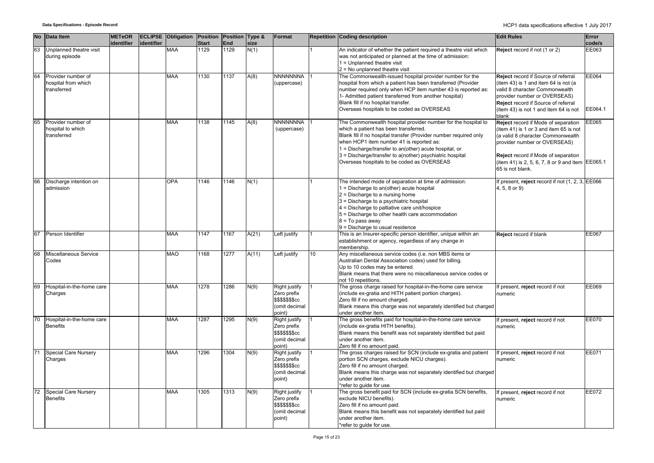|    | No Data Item                                             | <b>METeOR</b><br>identifier | identifier | <b>ECLIPSE Obligation Position</b> | <b>Start</b> | Position Type &<br>End | size  | Format                                                                             |    | <b>Repetition Coding description</b>                                                                                                                                                                                                                                                                                                                                                        | <b>Edit Rules</b>                                                                                                                                                                                                                                                 | Error<br>code/s  |
|----|----------------------------------------------------------|-----------------------------|------------|------------------------------------|--------------|------------------------|-------|------------------------------------------------------------------------------------|----|---------------------------------------------------------------------------------------------------------------------------------------------------------------------------------------------------------------------------------------------------------------------------------------------------------------------------------------------------------------------------------------------|-------------------------------------------------------------------------------------------------------------------------------------------------------------------------------------------------------------------------------------------------------------------|------------------|
| 63 | Unplanned theatre visit<br>during episode                |                             |            | <b>MAA</b>                         | 1129         | 1129                   | N(1)  |                                                                                    |    | An indicator of whether the patient required a theatre visit which<br>was not anticipated or planned at the time of admission:<br>1 = Unplanned theatre visit<br>2 = No unplanned theatre visit                                                                                                                                                                                             | Reject record if not (1 or 2)                                                                                                                                                                                                                                     | EE063            |
| 64 | Provider number of<br>hospital from which<br>transferred |                             |            | <b>MAA</b>                         | 1130         | 1137                   | A(8)  | <b>NNNNNNNA</b><br>(uppercase)                                                     |    | The Commonwealth-issued hospital provider number for the<br>hospital from which a patient has been transferred (Provider<br>number required only when HCP item number 43 is reported as:<br>1- Admitted patient transferred from another hospital)<br>Blank fill if no hospital transfer.<br>Overseas hospitals to be coded as OVERSEAS                                                     | Reject record if Source of referral<br>(item 43) is 1 and item 64 is not (a<br>valid 8 character Commonwealth<br>provider number or OVERSEAS)<br>Reject record if Source of referral<br>(item 43) is not 1 and item 64 is not<br>blank                            | EE064<br>EE064.1 |
| 65 | Provider number of<br>hospital to which<br>transferred   |                             |            | <b>MAA</b>                         | 1138         | 1145                   | A(8)  | <b>NNNNNNNA</b><br>(uppercase)                                                     |    | The Commonwealth hospital provider number for the hospital to<br>which a patient has been transferred.<br>Blank fill if no hospital transfer (Provider number required only<br>when HCP1 item number 41 is reported as:<br>1 = Discharge/transfer to an(other) acute hospital, or<br>3 = Discharge/transfer to a(nother) psychiatric hospital<br>Overseas hospitals to be coded as OVERSEAS | Reject record if Mode of separation<br>(item 41) is 1 or 3 and item 65 is not<br>(a valid 8 character Commonwealth<br>provider number or OVERSEAS)<br>Reject record if Mode of separation<br>(item 41) is 2, 5, 6, 7, 8 or 9 and item EE065.1<br>65 is not blank. | EE065            |
| 66 | Discharge intention on<br>admission                      |                             |            | <b>OPA</b>                         | 1146         | 1146                   | N(1)  |                                                                                    |    | The intended mode of separation at time of admission:<br>1 = Discharge to an(other) acute hospital<br>$2$ = Discharge to a nursing home<br>3 = Discharge to a psychiatric hospital<br>4 = Discharge to palliative care unit/hospice<br>5 = Discharge to other health care accommodation<br>8 = To pass away<br>9 = Discharge to usual residence                                             | f present, reject record if not $(1, 2, 3, \mathsf{IEE066})$<br>4, 5, 8 or 9)                                                                                                                                                                                     |                  |
| 67 | Person Identifier                                        |                             |            | <b>MAA</b>                         | 1147         | 1167                   | A(21) | Left justify                                                                       |    | This is an Insurer-specific person identifier, unique within an<br>establishment or agency, regardless of any change in<br>membership.                                                                                                                                                                                                                                                      | Reject record if blank                                                                                                                                                                                                                                            | EE067            |
| 68 | Miscellaneous Service<br>Codes                           |                             |            | <b>MAO</b>                         | 1168         | 1277                   | A(11) | Left justify                                                                       | 10 | Any miscellaneous service codes (i.e. non MBS items or<br>Australian Dental Association codes) used for billing.<br>Up to 10 codes may be entered.<br>Blank means that there were no miscellaneous service codes or<br>not 10 repetitions.                                                                                                                                                  |                                                                                                                                                                                                                                                                   |                  |
| 69 | Hospital-in-the-home care<br>Charges                     |                             |            | <b>MAA</b>                         | 1278         | 1286                   | N(9)  | Right justify<br>Zero prefix<br>\$\$\$\$\$\$\$cc<br>(omit decimal<br>point)        |    | The gross charge raised for hospital-in-the-home care service<br>(include ex-gratia and HITH patient portion charges).<br>Zero fill if no amount charged.<br>Blank means this charge was not separately identified but charged<br>under another item.                                                                                                                                       | f present, reject record if not<br>numeric                                                                                                                                                                                                                        | EE069            |
| 70 | Hospital-in-the-home care<br><b>Benefits</b>             |                             |            | <b>MAA</b>                         | 1287         | 1295                   | N(9)  | Right justify<br>Zero prefix<br>\$\$\$\$\$\$\$cc<br>(omit decimal<br>point)        |    | The gross benefits paid for hospital-in-the-home care service<br>(include ex-gratia HITH benefits).<br>Blank means this benefit was not separately identified but paid<br>under another item.<br>Zero fill if no amount paid.                                                                                                                                                               | f present, reject record if not<br>numeric                                                                                                                                                                                                                        | <b>EE070</b>     |
| 71 | <b>Special Care Nursery</b><br>Charges                   |                             |            | <b>MAA</b>                         | 1296         | 1304                   | N(9)  | Right justify<br>Zero prefix<br><b>\$\$\$\$\$\$\$cc</b><br>(omit decimal<br>point) |    | The gross charges raised for SCN (include ex-gratia and patient<br>portion SCN charges, exclude NICU charges).<br>Zero fill if no amount charged.<br>Blank means this charge was not separately identified but charged<br>under another item.<br>refer to guide for use.                                                                                                                    | If present, reject record if not<br>numeric                                                                                                                                                                                                                       | EE071            |
| 72 | <b>Special Care Nursery</b><br><b>Benefits</b>           |                             |            | <b>MAA</b>                         | 1305         | 1313                   | N(9)  | Right justify<br>Zero prefix<br>\$\$\$\$\$\$\$cc<br>(omit decimal<br>point)        |    | The gross benefit paid for SCN (include ex-gratia SCN benefits,<br>exclude NICU benefits).<br>Zero fill if no amount paid.<br>Blank means this benefit was not separately identified but paid<br>under another item.<br>*refer to quide for use.                                                                                                                                            | f present, reject record if not<br>numeric                                                                                                                                                                                                                        | EE072            |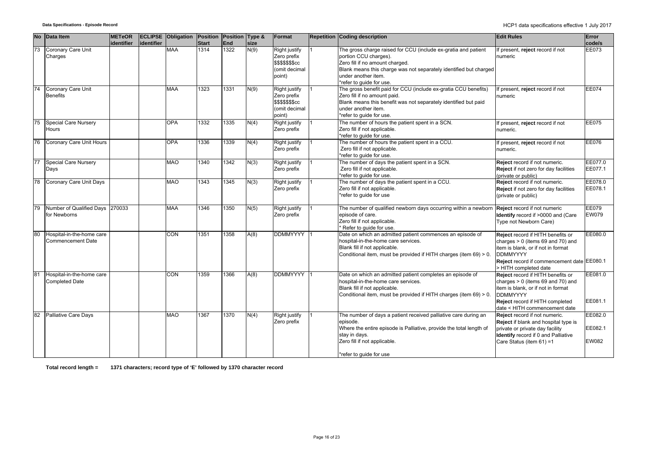| <b>No</b> | Data Item                                             | <b>METeOR</b><br>identifier | identifier | <b>ECLIPSE Obligation Position Position Type &amp;</b> | <b>Start</b> | End  | size | Format                                                                      | <b>Repetition Coding description</b>                                                                                                                                                                                                               | <b>Edit Rules</b>                                                                                                                                                                                                              | Error<br>code/s                    |
|-----------|-------------------------------------------------------|-----------------------------|------------|--------------------------------------------------------|--------------|------|------|-----------------------------------------------------------------------------|----------------------------------------------------------------------------------------------------------------------------------------------------------------------------------------------------------------------------------------------------|--------------------------------------------------------------------------------------------------------------------------------------------------------------------------------------------------------------------------------|------------------------------------|
| 73        | Coronary Care Unit<br>Charges                         |                             |            | <b>MAA</b>                                             | 1314         | 1322 | N(9) | Right justify<br>Zero prefix<br>\$\$\$\$\$\$cc<br>(omit decimal<br>point)   | The gross charge raised for CCU (include ex-gratia and patient<br>portion CCU charges).<br>Zero fill if no amount charged.<br>Blank means this charge was not separately identified but charged<br>under another item.<br>*refer to guide for use. | f present, reject record if not<br>numeric                                                                                                                                                                                     | <b>EE073</b>                       |
| 74        | Coronary Care Unit<br><b>Benefits</b>                 |                             |            | <b>MAA</b>                                             | 1323         | 1331 | N(9) | Right justify<br>Zero prefix<br>\$\$\$\$\$\$\$cc<br>(omit decimal<br>point) | The gross benefit paid for CCU (include ex-gratia CCU benefits)<br>Zero fill if no amount paid.<br>Blank means this benefit was not separately identified but paid<br>under another item.<br>*refer to quide for use.                              | If present, reject record if not<br>numeric                                                                                                                                                                                    | <b>EE074</b>                       |
| 75        | <b>Special Care Nursery</b><br>Hours                  |                             |            | OPA                                                    | 1332         | 1335 | N(4) | Right justify<br>Zero prefix                                                | The number of hours the patient spent in a SCN.<br>Zero fill if not applicable.<br>*refer to guide for use.                                                                                                                                        | If present, reject record if not<br>numeric.                                                                                                                                                                                   | EE075                              |
| 76        | Coronary Care Unit Hours                              |                             |            | OPA                                                    | 1336         | 1339 | N(4) | Right justify<br>Zero prefix                                                | The number of hours the patient spent in a CCU.<br>Zero fill if not applicable.<br>*refer to quide for use.                                                                                                                                        | f present, reject record if not<br>numeric.                                                                                                                                                                                    | EE076                              |
| 77        | <b>Special Care Nursery</b><br>Days                   |                             |            | <b>MAO</b>                                             | 1340         | 1342 | N(3) | Right justify<br>Zero prefix                                                | The number of days the patient spent in a SCN.<br>Zero fill if not applicable.<br>*refer to quide for use.                                                                                                                                         | Reject record if not numeric.<br>Reject if not zero for day facilities<br>(private or public)                                                                                                                                  | EE077.0<br>EE077.1                 |
|           | 78 Coronary Care Unit Days                            |                             |            | <b>MAO</b>                                             | 1343         | 1345 | N(3) | Right justify<br>Zero prefix                                                | The number of days the patient spent in a CCU.<br>Zero fill if not applicable.<br>*refer to quide for use                                                                                                                                          | Reject record if not numeric.<br>Reject if not zero for day facilities<br>(private or public)                                                                                                                                  | EE078.0<br>EE078.1                 |
|           | Number of Qualified Days 270033<br>for Newborns       |                             |            | <b>MAA</b>                                             | 1346         | 1350 | N(5) | Right justify<br>Zero prefix                                                | The number of qualified newborn days occurring within a newborn<br>episode of care.<br>Zero fill if not applicable.<br>Refer to guide for use.                                                                                                     | Reject record if not numeric<br>Identify record if >0000 and (Care<br>Type not Newborn Care)                                                                                                                                   | EE079<br><b>EW079</b>              |
| 80        | Hospital-in-the-home care<br><b>Commencement Date</b> |                             |            | $\overline{CON}$                                       | 1351         | 1358 | A(8) | <b>DDMMYYYY</b>                                                             | Date on which an admitted patient commences an episode of<br>hospital-in-the-home care services.<br>Blank fill if not applicable.<br>Conditional item, must be provided if HITH charges (item 69) > 0.                                             | Reject record if HITH benefits or<br>charges $> 0$ (items 69 and 70) and<br>item is blank, or if not in format<br><b>DDMMYYYY</b><br>Reject record if commencement date EE080.1                                                | EE080.0                            |
| 81        | Hospital-in-the-home care<br><b>Completed Date</b>    |                             |            | CON                                                    | 1359         | 1366 | A(8) | <b>DDMMYYYY</b>                                                             | Date on which an admitted patient completes an episode of<br>hospital-in-the-home care services.<br>Blank fill if not applicable.<br>Conditional item, must be provided if HITH charges (item 69) > 0.                                             | > HITH completed date<br>Reject record if HITH benefits or<br>charges $> 0$ (items 69 and 70) and<br>item is blank, or if not in format<br><b>DDMMYYYY</b><br>Reject record if HITH completed<br>date < HITH commencement date | EE081.0<br>EE081.1                 |
| 82        | <b>Palliative Care Days</b>                           |                             |            | <b>MAO</b>                                             | 1367         | 1370 | N(4) | Right justify<br>Zero prefix                                                | The number of days a patient received palliative care during an<br>episode.<br>Where the entire episode is Palliative, provide the total length of<br>stay in days.<br>Zero fill if not applicable.<br>*refer to quide for use                     | Reject record if not numeric.<br>Reject if blank and hospital type is<br>private or private day facility<br>Identify record if 0 and Palliative<br>Care Status (item 61) =1                                                    | EE082.0<br>EE082.1<br><b>EW082</b> |

**Total record length = 1371 characters; record type of 'E' followed by 1370 character record**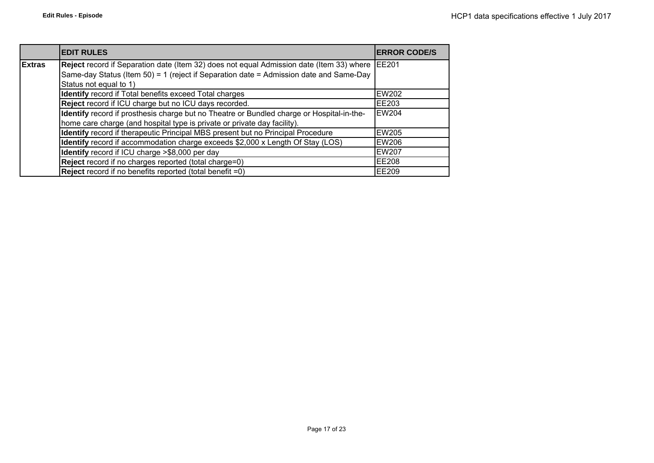|               | <b>EDIT RULES</b>                                                                                                                                                                                            | <b>IERROR CODE/S</b> |
|---------------|--------------------------------------------------------------------------------------------------------------------------------------------------------------------------------------------------------------|----------------------|
| <b>Extras</b> | Reject record if Separation date (Item 32) does not equal Admission date (Item 33) where<br>Same-day Status (Item 50) = 1 (reject if Separation date = Admission date and Same-Day<br>Status not equal to 1) | <b>IEE201</b>        |
|               | Identify record if Total benefits exceed Total charges                                                                                                                                                       | <b>EW202</b>         |
|               | Reject record if ICU charge but no ICU days recorded.                                                                                                                                                        | <b>EE203</b>         |
|               | Identify record if prosthesis charge but no Theatre or Bundled charge or Hospital-in-the-<br>home care charge (and hospital type is private or private day facility).                                        | <b>EW204</b>         |
|               | Identify record if therapeutic Principal MBS present but no Principal Procedure                                                                                                                              | <b>EW205</b>         |
|               | Identify record if accommodation charge exceeds \$2,000 x Length Of Stay (LOS)                                                                                                                               | <b>EW206</b>         |
|               | Identify record if ICU charge >\$8,000 per day                                                                                                                                                               | <b>EW207</b>         |
|               | Reject record if no charges reported (total charge=0)                                                                                                                                                        | <b>EE208</b>         |
|               | <b>Reject</b> record if no benefits reported (total benefit =0)                                                                                                                                              | EE209                |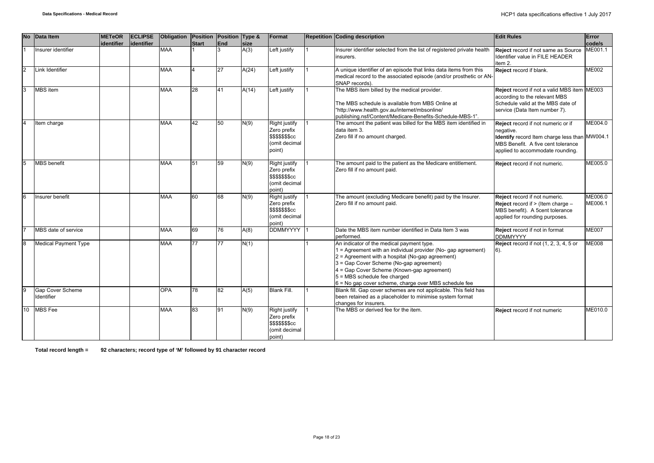| <b>No</b>      | Data Item                             | <b>METeOR</b> | <b>ECLIPSE</b> | Obligation |                | Position Position Type & |              | Format                                                                                    | <b>Repetition Coding description</b>                                                                                                                                                                                                                                                                                                               | <b>Edit Rules</b>                                                                                                                                                          | Error              |
|----------------|---------------------------------------|---------------|----------------|------------|----------------|--------------------------|--------------|-------------------------------------------------------------------------------------------|----------------------------------------------------------------------------------------------------------------------------------------------------------------------------------------------------------------------------------------------------------------------------------------------------------------------------------------------------|----------------------------------------------------------------------------------------------------------------------------------------------------------------------------|--------------------|
|                | Insurer identifier                    | identifier    | lidentifier    | <b>MAA</b> | <b>Start</b>   | End<br>3                 | size<br>A(3) | Left justify                                                                              | Insurer identifier selected from the list of registered private health<br>insurers.                                                                                                                                                                                                                                                                | Reject record if not same as Source<br>Identifier value in FILE HEADER<br>item 2.                                                                                          | code/s<br>ME001.1  |
| $\overline{2}$ | Link Identifier                       |               |                | <b>MAA</b> | $\overline{4}$ | 27                       | A(24)        | Left justify                                                                              | A unique identifier of an episode that links data items from this<br>medical record to the associated episode (and/or prosthetic or AN-<br>SNAP records).                                                                                                                                                                                          | Reject record if blank.                                                                                                                                                    | <b>ME002</b>       |
| 3              | <b>MBS</b> item                       |               |                | <b>MAA</b> | 28             | 41                       | A(14)        | Left justify                                                                              | The MBS item billed by the medical provider.<br>The MBS schedule is available from MBS Online at<br>"http://www.health.gov.au/internet/mbsonline/<br>publishing.nsf/Content/Medicare-Benefits-Schedule-MBS-1".                                                                                                                                     | Reject record if not a valid MBS item ME003<br>according to the relevant MBS<br>Schedule valid at the MBS date of<br>service (Data Item number 7).                         |                    |
| $\overline{4}$ | Item charge                           |               |                | <b>MAA</b> | 42             | 50                       | N(9)         | Right justify<br>Zero prefix<br>\$\$\$\$\$\$\$cc<br>(omit decimal<br>point)               | The amount the patient was billed for the MBS item identified in<br>data item 3.<br>Zero fill if no amount charged.                                                                                                                                                                                                                                | Reject record if not numeric or if<br>negative.<br>Identify record Item charge less than MW004.1<br>MBS Benefit. A five cent tolerance<br>applied to accommodate rounding. | ME004.0            |
| 5              | <b>MBS</b> benefit                    |               |                | <b>MAA</b> | 51             | 59                       | N(9)         | <b>Right justify</b><br>Zero prefix<br><b>\$\$\$\$\$\$\$cc</b><br>(omit decimal<br>point) | The amount paid to the patient as the Medicare entitlement.<br>Zero fill if no amount paid.                                                                                                                                                                                                                                                        | Reject record if not numeric.                                                                                                                                              | ME005.0            |
| 6              | Insurer benefit                       |               |                | <b>MAA</b> | 60             | 68                       | N(9)         | Right justify<br>Zero prefix<br>\$\$\$\$\$\$\$cc<br>(omit decimal<br>point)               | The amount (excluding Medicare benefit) paid by the Insurer.<br>Zero fill if no amount paid.                                                                                                                                                                                                                                                       | Reject record if not numeric.<br><b>Reject</b> record if $>$ (Item charge $-$<br>MBS benefit). A 5cent tolerance<br>applied for rounding purposes.                         | ME006.0<br>ME006.1 |
|                | MBS date of service                   |               |                | <b>MAA</b> | 69             | 76                       | A(8)         | <b>DDMMYYYY</b>                                                                           | Date the MBS item number identified in Data Item 3 was<br>performed.                                                                                                                                                                                                                                                                               | Reject record if not in format<br><b>DDMMYYYY</b>                                                                                                                          | <b>ME007</b>       |
| 8              | <b>Medical Payment Type</b>           |               |                | <b>MAA</b> | 77             | 77                       | N(1)         |                                                                                           | An indicator of the medical payment type.<br>1 = Agreement with an individual provider (No- gap agreement)<br>$2$ = Agreement with a hospital (No-gap agreement)<br>3 = Gap Cover Scheme (No-gap agreement)<br>4 = Gap Cover Scheme (Known-gap agreement)<br>5 = MBS schedule fee charged<br>6 = No gap cover scheme, charge over MBS schedule fee | Reject record if not (1, 2, 3, 4, 5 or<br>$6)$ .                                                                                                                           | <b>ME008</b>       |
| 9              | <b>Gap Cover Scheme</b><br>Identifier |               |                | <b>OPA</b> | 78             | 82                       | A(5)         | <b>Blank Fill.</b>                                                                        | Blank fill. Gap cover schemes are not applicable. This field has<br>been retained as a placeholder to minimise system format<br>changes for insurers.                                                                                                                                                                                              |                                                                                                                                                                            |                    |
| 10             | <b>MBS</b> Fee                        |               |                | <b>MAA</b> | 83             | 91                       | N(9)         | Right justify<br>Zero prefix<br><b>\$\$\$\$\$\$\$cc</b><br>(omit decimal<br>point)        | The MBS or derived fee for the item.                                                                                                                                                                                                                                                                                                               | Reject record if not numeric                                                                                                                                               | ME010.0            |

**Total record length = 92 characters; record type of 'M' followed by 91 character record**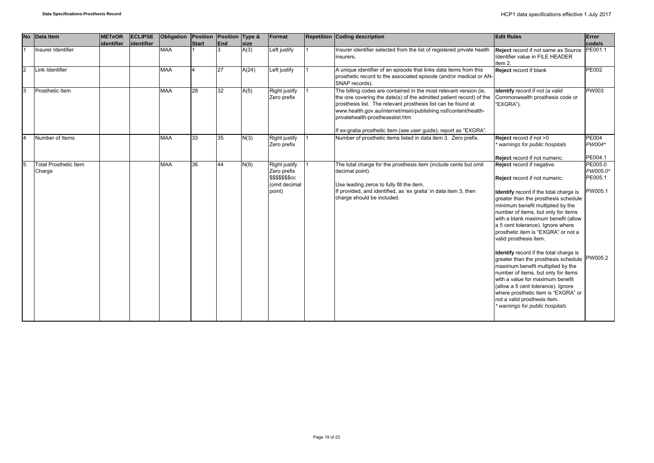|               | <b>No</b> | Data Item                              | <b>METeOR</b><br>identifier | <b>ECLIPSE</b><br>identifier | <b>Obligation</b> | Position Position Type &<br><b>Start</b> | End | size  | Format                                                                      | <b>Repetition Coding description</b>                                                                                                                                                                                                                                                                                                                                                 | <b>Edit Rules</b>                                                                                                                                                                                                                                                                                                                                                                                                                                                                                                                                                                                                                                                                                                      | Error<br>code/s                                      |
|---------------|-----------|----------------------------------------|-----------------------------|------------------------------|-------------------|------------------------------------------|-----|-------|-----------------------------------------------------------------------------|--------------------------------------------------------------------------------------------------------------------------------------------------------------------------------------------------------------------------------------------------------------------------------------------------------------------------------------------------------------------------------------|------------------------------------------------------------------------------------------------------------------------------------------------------------------------------------------------------------------------------------------------------------------------------------------------------------------------------------------------------------------------------------------------------------------------------------------------------------------------------------------------------------------------------------------------------------------------------------------------------------------------------------------------------------------------------------------------------------------------|------------------------------------------------------|
|               |           | Insurer Identifier                     |                             |                              | <b>MAA</b>        |                                          |     | A(3)  | Left justify                                                                | Insurer identifier selected from the list of registered private health<br>insurers.                                                                                                                                                                                                                                                                                                  | Reject record if not same as Source<br>Identifier value in FILE HEADER<br>item 2.                                                                                                                                                                                                                                                                                                                                                                                                                                                                                                                                                                                                                                      | PE001.1                                              |
| $\mathcal{P}$ |           | Link Identifier                        |                             |                              | <b>MAA</b>        |                                          | 27  | A(24) | Left justify                                                                | A unique identifier of an episode that links data items from this<br>prosthetic record to the associated episode (and/or medical or AN-<br>SNAP records).                                                                                                                                                                                                                            | Reject record if blank                                                                                                                                                                                                                                                                                                                                                                                                                                                                                                                                                                                                                                                                                                 | <b>PE002</b>                                         |
| 3             |           | Prosthetic Item                        |                             |                              | <b>MAA</b>        | 28                                       | 32  | A(5)  | Right justify<br>Zero prefix                                                | The billing codes are contained in the most relevant version (ie,<br>the one covering the date(s) of the admitted patient record) of the<br>prosthesis list. The relevant prosthesis list can be found at<br>www.health.gov.au/internet/main/publishing.nsf/content/health-<br>privatehealth-prostheseslist.htm<br>If ex-gratia prosthetic item (see user guide), report as "EXGRA". | Identify record if not (a valid<br>Commonwealth prosthesis code or<br>"EXGRA").                                                                                                                                                                                                                                                                                                                                                                                                                                                                                                                                                                                                                                        | <b>PW003</b>                                         |
|               |           | Number of Items                        |                             |                              | <b>MAA</b>        | 33                                       | 35  | N(3)  | Right justify<br>Zero prefix                                                | Number of prosthetic items listed in data item 3. Zero prefix.                                                                                                                                                                                                                                                                                                                       | Reject record if not >0<br>warnings for public hospitals<br>Reject record if not numeric.                                                                                                                                                                                                                                                                                                                                                                                                                                                                                                                                                                                                                              | <b>PE004</b><br>PW004*<br>PE004.1                    |
|               |           | <b>Total Prosthetic Item</b><br>Charge |                             |                              | <b>MAA</b>        | 36                                       | 44  | N(9)  | Right justify<br>Zero prefix<br>\$\$\$\$\$\$\$cc<br>(omit decimal<br>point) | The total charge for the prosthesis item (include cents but omit<br>decimal point).<br>Use leading zeros to fully fill the item.<br>If provided, and identified, as 'ex gratia' in data item 3, then<br>charge should be included.                                                                                                                                                   | Reject record if negative.<br>Reject record if not numeric.<br>Identify record if the total charge is<br>greater than the prosthesis schedule<br>minimum benefit multiplied by the<br>number of items, but only for items<br>with a blank maximum benefit (allow<br>a 5 cent tolerance). Ignore where<br>prosthetic item is "EXGRA" or not a<br>valid prosthesis item.<br>Identify record if the total charge is<br>greater than the prosthesis schedule<br>maximum benefit multiplied by the<br>number of items, but only for items<br>with a value for maximum benefit<br>(allow a 5 cent tolerance). Ignore<br>where prosthetic item is "EXGRA" or<br>not a valid prosthesis item.<br>warnings for public hospitals | PE005.0<br>PW005.0*<br>PE005.1<br>PW005.1<br>PW005.2 |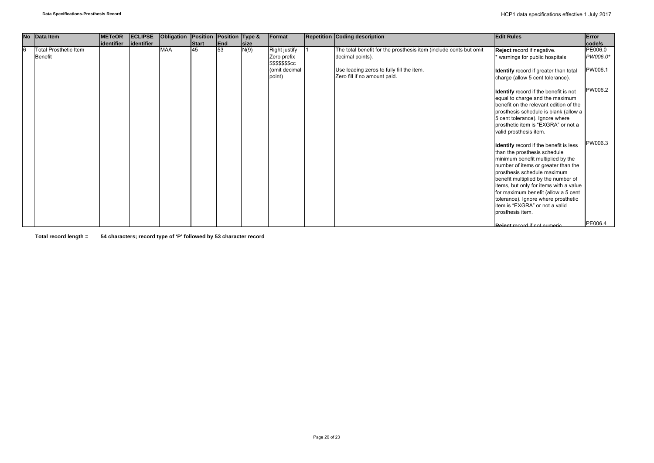|   | No Data Item                                   | <b>METeOR</b> | <b>ECLIPSE</b> | Obligation | Position | Position Type & |             | Format                                           | <b>Repetition Coding description</b>                                                  | <b>Edit Rules</b>                                                                                                                                                                                                                                                                                                                                                                                      | Error               |
|---|------------------------------------------------|---------------|----------------|------------|----------|-----------------|-------------|--------------------------------------------------|---------------------------------------------------------------------------------------|--------------------------------------------------------------------------------------------------------------------------------------------------------------------------------------------------------------------------------------------------------------------------------------------------------------------------------------------------------------------------------------------------------|---------------------|
|   |                                                | lidentifier   | identifier     |            | Start    | End             | <b>Size</b> |                                                  |                                                                                       |                                                                                                                                                                                                                                                                                                                                                                                                        | code/s              |
| 6 | <b>Total Prosthetic Item</b><br><b>Benefit</b> |               |                | <b>MAA</b> | 45       | 53              | N(9)        | Right justify<br>Zero prefix<br>\$\$\$\$\$\$\$cc | The total benefit for the prosthesis item (include cents but omit<br>decimal points). | Reject record if negative.<br>warnings for public hospitals                                                                                                                                                                                                                                                                                                                                            | PE006.0<br>PW006.0* |
|   |                                                |               |                |            |          |                 |             | (omit decimal<br>point)                          | Use leading zeros to fully fill the item.<br>Zero fill if no amount paid.             | Identify record if greater than total<br>charge (allow 5 cent tolerance).                                                                                                                                                                                                                                                                                                                              | PW006.1             |
|   |                                                |               |                |            |          |                 |             |                                                  |                                                                                       | <b>Identify</b> record if the benefit is not<br>equal to charge and the maximum<br>benefit on the relevant edition of the<br>prosthesis schedule is blank (allow a<br>5 cent tolerance). Ignore where<br>prosthetic item is "EXGRA" or not a<br>valid prosthesis item.                                                                                                                                 | PW006.2             |
|   |                                                |               |                |            |          |                 |             |                                                  |                                                                                       | Identify record if the benefit is less<br>than the prosthesis schedule<br>minimum benefit multiplied by the<br>number of items or greater than the<br>prosthesis schedule maximum<br>benefit multiplied by the number of<br>items, but only for items with a value<br>for maximum benefit (allow a 5 cent<br>tolerance). Ignore where prosthetic<br>item is "EXGRA" or not a valid<br>prosthesis item. | PW006.3             |
|   |                                                |               |                |            |          |                 |             |                                                  |                                                                                       | Reject record if not numeric.                                                                                                                                                                                                                                                                                                                                                                          | PE006.4             |

**Total record length = 54 characters; record type of 'P' followed by 53 character record**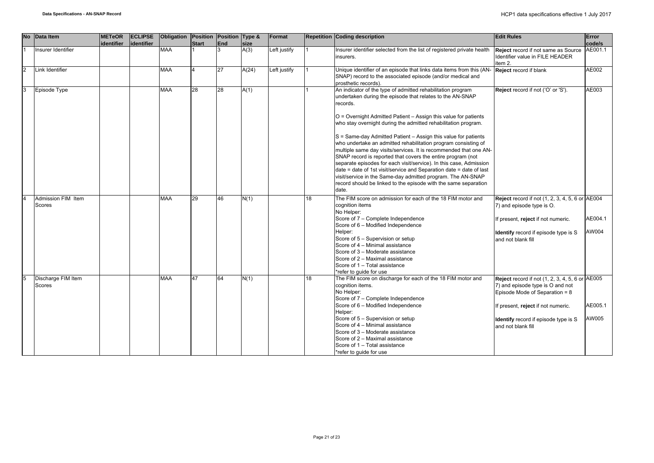| <b>No</b>      | Data Item                           | <b>METeOR</b> | <b>ECLIPSE</b> | Obligation | Position Position Type & |            |       | Format       |    | <b>Repetition Coding description</b>                                                                                                                                                                                                                                                                                                                                                                                                                                                                                                                                                                                                                                                                                                                                                                                                      | <b>Edit Rules</b>                                                                                                                                                                                                                       | Error            |
|----------------|-------------------------------------|---------------|----------------|------------|--------------------------|------------|-------|--------------|----|-------------------------------------------------------------------------------------------------------------------------------------------------------------------------------------------------------------------------------------------------------------------------------------------------------------------------------------------------------------------------------------------------------------------------------------------------------------------------------------------------------------------------------------------------------------------------------------------------------------------------------------------------------------------------------------------------------------------------------------------------------------------------------------------------------------------------------------------|-----------------------------------------------------------------------------------------------------------------------------------------------------------------------------------------------------------------------------------------|------------------|
|                |                                     | identifier    | identifier     |            | <b>Start</b>             | <b>End</b> | size  |              |    |                                                                                                                                                                                                                                                                                                                                                                                                                                                                                                                                                                                                                                                                                                                                                                                                                                           |                                                                                                                                                                                                                                         | code/s           |
|                | Insurer Identifier                  |               |                | <b>MAA</b> |                          | 3          | A(3)  | Left justify |    | Insurer identifier selected from the list of registered private health<br>insurers.                                                                                                                                                                                                                                                                                                                                                                                                                                                                                                                                                                                                                                                                                                                                                       | Reject record if not same as Source AE001.1<br>Identifier value in FILE HEADER<br>item 2.                                                                                                                                               |                  |
| $\overline{2}$ | Link Identifier                     |               |                | <b>MAA</b> | $\overline{4}$           | 27         | A(24) | Left justify |    | Unique identifier of an episode that links data items from this (AN- Reject record if blank<br>SNAP) record to the associated episode (and/or medical and<br>prosthetic records).                                                                                                                                                                                                                                                                                                                                                                                                                                                                                                                                                                                                                                                         |                                                                                                                                                                                                                                         | AE002            |
| 3              | Episode Type                        |               |                | <b>MAA</b> | 28                       | 28         | A(1)  |              |    | An indicator of the type of admitted rehabilitation program<br>undertaken during the episode that relates to the AN-SNAP<br>records.<br>O = Overnight Admitted Patient - Assign this value for patients<br>who stay overnight during the admitted rehabilitation program.<br>S = Same-day Admitted Patient - Assign this value for patients<br>who undertake an admitted rehabilitation program consisting of<br>multiple same day visits/services. It is recommended that one AN-<br>SNAP record is reported that covers the entire program (not<br>separate episodes for each visit/service). In this case, Admission<br>date = date of 1st visit/service and Separation date = date of last<br>visit/service in the Same-day admitted program. The AN-SNAP<br>record should be linked to the episode with the same separation<br>date. | Reject record if not ('O' or 'S').                                                                                                                                                                                                      | AE003            |
| $\overline{4}$ | Admission FIM Item<br>Scores        |               |                | <b>MAA</b> | 29                       | 46         | N(1)  |              | 18 | The FIM score on admission for each of the 18 FIM motor and<br>cognition items<br>No Helper:<br>Score of 7 - Complete Independence<br>Score of 6 - Modified Independence<br>Helper:<br>Score of 5 - Supervision or setup<br>Score of 4 - Minimal assistance<br>Score of 3 - Moderate assistance<br>Score of 2 - Maximal assistance<br>Score of 1 - Total assistance<br>*refer to quide for use                                                                                                                                                                                                                                                                                                                                                                                                                                            | <b>Reject</b> record if not (1, 2, 3, 4, 5, 6 or AE004<br>7) and episode type is O.<br>If present, reject if not numeric.<br><b>Identify</b> record if episode type is S<br>and not blank fill                                          | AE004.1<br>AW004 |
| 5              | Discharge FIM Item<br><b>Scores</b> |               |                | <b>MAA</b> | 47                       | 64         | N(1)  |              | 18 | The FIM score on discharge for each of the 18 FIM motor and<br>cognition items.<br>No Helper:<br>Score of 7 - Complete Independence<br>Score of 6 - Modified Independence<br>Helper:<br>Score of 5 - Supervision or setup<br>Score of 4 - Minimal assistance<br>Score of 3 - Moderate assistance<br>Score of 2 - Maximal assistance<br>Score of 1 - Total assistance<br>*refer to quide for use                                                                                                                                                                                                                                                                                                                                                                                                                                           | <b>Reject</b> record if not (1, 2, 3, 4, 5, 6 or AE005<br>7) and episode type is O and not<br>Episode Mode of Separation = 8<br>If present, reject if not numeric.<br><b>Identify</b> record if episode type is S<br>and not blank fill | AE005.1<br>AW005 |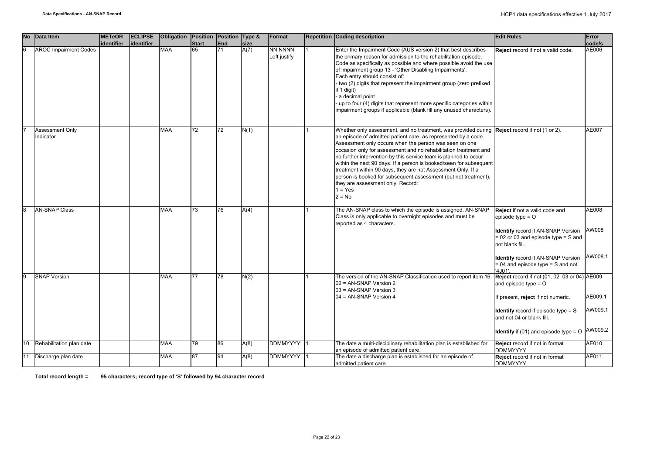| <b>No</b>      | Data Item                    | <b>METeOR</b> | <b>ECLIPSE</b> | Obligation | Position Position Type & |     |      | Format                  | <b>Repetition Coding description</b>                                                                                                                                                                                                                                                                                                                                                                                                                                                                                                                                                                                                           | <b>Edit Rules</b>                                                                                                                                                                                                                                           | Error                         |
|----------------|------------------------------|---------------|----------------|------------|--------------------------|-----|------|-------------------------|------------------------------------------------------------------------------------------------------------------------------------------------------------------------------------------------------------------------------------------------------------------------------------------------------------------------------------------------------------------------------------------------------------------------------------------------------------------------------------------------------------------------------------------------------------------------------------------------------------------------------------------------|-------------------------------------------------------------------------------------------------------------------------------------------------------------------------------------------------------------------------------------------------------------|-------------------------------|
|                |                              | lidentifier   | lidentifier    |            | <b>Start</b>             | End | size |                         |                                                                                                                                                                                                                                                                                                                                                                                                                                                                                                                                                                                                                                                |                                                                                                                                                                                                                                                             | code/s                        |
| 6              | <b>AROC Impairment Codes</b> |               |                | <b>MAA</b> | 65                       | 71  | A(7) | NN.NNNN<br>Left justify | Enter the Impairment Code (AUS version 2) that best describes<br>the primary reason for admission to the rehabilitation episode.<br>Code as specifically as possible and where possible avoid the use<br>of impairment group 13 - 'Other Disabling Impairments'.<br>Each entry should consist of:<br>two (2) digits that represent the impairment group (zero prefixed<br>if 1 digit)<br>a decimal point<br>up to four (4) digits that represent more specific categories within<br>impairment groups if applicable (blank fill any unused characters).                                                                                        | Reject record if not a valid code.                                                                                                                                                                                                                          | AE006                         |
|                | Assessment Only<br>Indicator |               |                | <b>MAA</b> | 72                       | 72  | N(1) |                         | Whether only assessment, and no treatment, was provided during $\Re$ Reject record if not (1 or 2).<br>an episode of admitted patient care, as represented by a code.<br>Assessment only occurs when the person was seen on one<br>occasion only for assessment and no rehabilitation treatment and<br>no further intervention by this service team is planned to occur<br>within the next 90 days. If a person is booked/seen for subsequent<br>treatment within 90 days, they are not Assessment Only. If a<br>person is booked for subsequent assessment (but not treatment),<br>they are assessment only. Record:<br>$1 = Yes$<br>$2 = No$ |                                                                                                                                                                                                                                                             | AE007                         |
| $\overline{8}$ | <b>AN-SNAP Class</b>         |               |                | <b>MAA</b> | 73                       | 76  | A(4) |                         | The AN-SNAP class to which the episode is assigned. AN-SNAP<br>Class is only applicable to overnight episodes and must be<br>reported as 4 characters.                                                                                                                                                                                                                                                                                                                                                                                                                                                                                         | Reject if not a valid code and<br>episode type $=$ $\circ$<br><b>Identify</b> record if AN-SNAP Version<br>$= 02$ or 03 and episode type $= S$ and<br>not blank fill.<br><b>Identify</b> record if AN-SNAP Version<br>$= 04$ and episode type $= S$ and not | AE008<br>AW008<br>AW008.1     |
| 9              | <b>SNAP Version</b>          |               |                | <b>MAA</b> | 77                       | 78  | N(2) |                         | The version of the AN-SNAP Classification used to report item 16.<br>02 = AN-SNAP Version 2<br>03 = AN-SNAP Version 3<br>04 = AN-SNAP Version 4                                                                                                                                                                                                                                                                                                                                                                                                                                                                                                | '4J01'.<br>Reject record if not (01, 02, 03 or 04) AE009<br>and episode type $=$ O<br>If present, reject if not numeric.<br><b>Identify</b> record if episode type = S<br>and not 04 or blank fill.<br><b>Identify</b> if $(01)$ and episode type = $O$     | AE009.1<br>AW009.1<br>AW009.2 |
|                | 10 Rehabilitation plan date  |               |                | MAA        | 79                       | 86  | A(8) | <b>DDMMYYYY</b>         | The date a multi-disciplinary rehabilitation plan is established for<br>an episode of admitted patient care.                                                                                                                                                                                                                                                                                                                                                                                                                                                                                                                                   | Reject record if not in format<br><b>DDMMYYYY</b>                                                                                                                                                                                                           | AE010                         |
|                | 11 Discharge plan date       |               |                | <b>MAA</b> | 87                       | 94  | A(8) | <b>DDMMYYYY</b>         | The date a discharge plan is established for an episode of<br>admitted patient care.                                                                                                                                                                                                                                                                                                                                                                                                                                                                                                                                                           | Reject record if not in format<br><b>DDMMYYYY</b>                                                                                                                                                                                                           | AE011                         |

**Total record length = 95 characters; record type of 'S' followed by 94 character record**